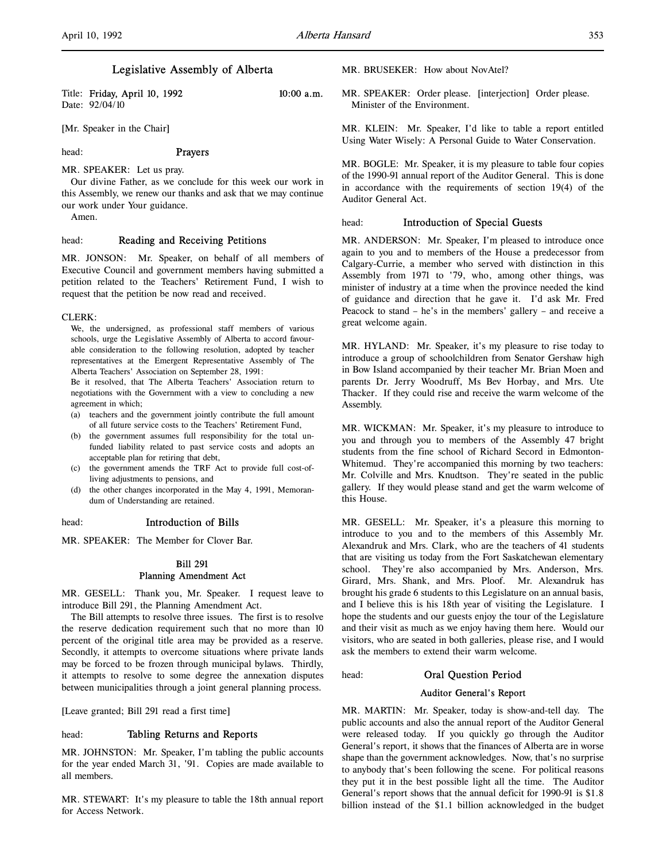Title: Friday, April 10, 1992 10:00 a.m. Date: 92/04/10

[Mr. Speaker in the Chair]

## head: Prayers

MR. SPEAKER: Let us pray.

Our divine Father, as we conclude for this week our work in this Assembly, we renew our thanks and ask that we may continue our work under Your guidance.

Amen.

#### head: Reading and Receiving Petitions

MR. JONSON: Mr. Speaker, on behalf of all members of Executive Council and government members having submitted a petition related to the Teachers' Retirement Fund, I wish to request that the petition be now read and received.

#### CLERK:

We, the undersigned, as professional staff members of various schools, urge the Legislative Assembly of Alberta to accord favourable consideration to the following resolution, adopted by teacher representatives at the Emergent Representative Assembly of The Alberta Teachers' Association on September 28, 1991:

Be it resolved, that The Alberta Teachers' Association return to negotiations with the Government with a view to concluding a new agreement in which;

- (a) teachers and the government jointly contribute the full amount of all future service costs to the Teachers' Retirement Fund,
- (b) the government assumes full responsibility for the total unfunded liability related to past service costs and adopts an acceptable plan for retiring that debt,
- (c) the government amends the TRF Act to provide full cost-ofliving adjustments to pensions, and
- (d) the other changes incorporated in the May 4, 1991, Memorandum of Understanding are retained.

#### head: Introduction of Bills

MR. SPEAKER: The Member for Clover Bar.

## Bill 291 Planning Amendment Act

MR. GESELL: Thank you, Mr. Speaker. I request leave to introduce Bill 291, the Planning Amendment Act.

The Bill attempts to resolve three issues. The first is to resolve the reserve dedication requirement such that no more than 10 percent of the original title area may be provided as a reserve. Secondly, it attempts to overcome situations where private lands may be forced to be frozen through municipal bylaws. Thirdly, it attempts to resolve to some degree the annexation disputes between municipalities through a joint general planning process.

[Leave granted; Bill 291 read a first time]

## head: Tabling Returns and Reports

MR. JOHNSTON: Mr. Speaker, I'm tabling the public accounts for the year ended March 31, '91. Copies are made available to all members.

MR. STEWART: It's my pleasure to table the 18th annual report for Access Network.

MR. BRUSEKER: How about NovAtel?

MR. SPEAKER: Order please. [interjection] Order please. Minister of the Environment.

MR. KLEIN: Mr. Speaker, I'd like to table a report entitled Using Water Wisely: A Personal Guide to Water Conservation.

MR. BOGLE: Mr. Speaker, it is my pleasure to table four copies of the 1990-91 annual report of the Auditor General. This is done in accordance with the requirements of section 19(4) of the Auditor General Act.

### head: Introduction of Special Guests

MR. ANDERSON: Mr. Speaker, I'm pleased to introduce once again to you and to members of the House a predecessor from Calgary-Currie, a member who served with distinction in this Assembly from 1971 to '79, who, among other things, was minister of industry at a time when the province needed the kind of guidance and direction that he gave it. I'd ask Mr. Fred Peacock to stand – he's in the members' gallery – and receive a great welcome again.

MR. HYLAND: Mr. Speaker, it's my pleasure to rise today to introduce a group of schoolchildren from Senator Gershaw high in Bow Island accompanied by their teacher Mr. Brian Moen and parents Dr. Jerry Woodruff, Ms Bev Horbay, and Mrs. Ute Thacker. If they could rise and receive the warm welcome of the Assembly.

MR. WICKMAN: Mr. Speaker, it's my pleasure to introduce to you and through you to members of the Assembly 47 bright students from the fine school of Richard Secord in Edmonton-Whitemud. They're accompanied this morning by two teachers: Mr. Colville and Mrs. Knudtson. They're seated in the public gallery. If they would please stand and get the warm welcome of this House.

MR. GESELL: Mr. Speaker, it's a pleasure this morning to introduce to you and to the members of this Assembly Mr. Alexandruk and Mrs. Clark, who are the teachers of 41 students that are visiting us today from the Fort Saskatchewan elementary school. They're also accompanied by Mrs. Anderson, Mrs. Girard, Mrs. Shank, and Mrs. Ploof. Mr. Alexandruk has brought his grade 6 students to this Legislature on an annual basis, and I believe this is his 18th year of visiting the Legislature. I hope the students and our guests enjoy the tour of the Legislature and their visit as much as we enjoy having them here. Would our visitors, who are seated in both galleries, please rise, and I would ask the members to extend their warm welcome.

# head: Oral Question Period

#### Auditor General's Report

MR. MARTIN: Mr. Speaker, today is show-and-tell day. The public accounts and also the annual report of the Auditor General were released today. If you quickly go through the Auditor General's report, it shows that the finances of Alberta are in worse shape than the government acknowledges. Now, that's no surprise to anybody that's been following the scene. For political reasons they put it in the best possible light all the time. The Auditor General's report shows that the annual deficit for 1990-91 is \$1.8 billion instead of the \$1.1 billion acknowledged in the budget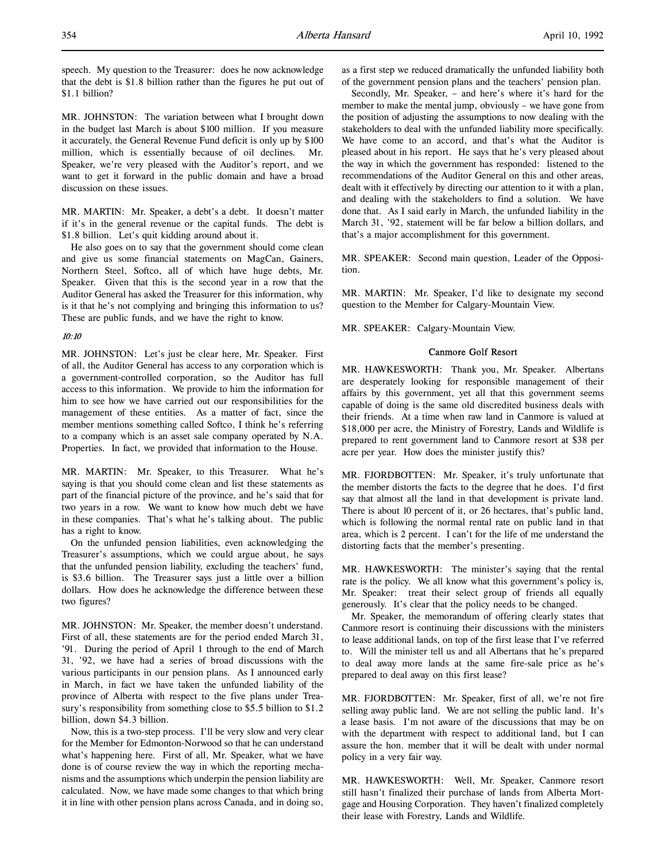speech. My question to the Treasurer: does he now acknowledge that the debt is \$1.8 billion rather than the figures he put out of \$1.1 billion?

MR. JOHNSTON: The variation between what I brought down in the budget last March is about \$100 million. If you measure it accurately, the General Revenue Fund deficit is only up by \$100 million, which is essentially because of oil declines. Mr. Speaker, we're very pleased with the Auditor's report, and we want to get it forward in the public domain and have a broad discussion on these issues.

MR. MARTIN: Mr. Speaker, a debt's a debt. It doesn't matter if it's in the general revenue or the capital funds. The debt is \$1.8 billion. Let's quit kidding around about it.

He also goes on to say that the government should come clean and give us some financial statements on MagCan, Gainers, Northern Steel, Softco, all of which have huge debts, Mr. Speaker. Given that this is the second year in a row that the Auditor General has asked the Treasurer for this information, why is it that he's not complying and bringing this information to us? These are public funds, and we have the right to know.

### 10:10

MR. JOHNSTON: Let's just be clear here, Mr. Speaker. First of all, the Auditor General has access to any corporation which is a government-controlled corporation, so the Auditor has full access to this information. We provide to him the information for him to see how we have carried out our responsibilities for the management of these entities. As a matter of fact, since the member mentions something called Softco, I think he's referring to a company which is an asset sale company operated by N.A. Properties. In fact, we provided that information to the House.

MR. MARTIN: Mr. Speaker, to this Treasurer. What he's saying is that you should come clean and list these statements as part of the financial picture of the province, and he's said that for two years in a row. We want to know how much debt we have in these companies. That's what he's talking about. The public has a right to know.

On the unfunded pension liabilities, even acknowledging the Treasurer's assumptions, which we could argue about, he says that the unfunded pension liability, excluding the teachers' fund, is \$3.6 billion. The Treasurer says just a little over a billion dollars. How does he acknowledge the difference between these two figures?

MR. JOHNSTON: Mr. Speaker, the member doesn't understand. First of all, these statements are for the period ended March 31, '91. During the period of April 1 through to the end of March 31, '92, we have had a series of broad discussions with the various participants in our pension plans. As I announced early in March, in fact we have taken the unfunded liability of the province of Alberta with respect to the five plans under Treasury's responsibility from something close to \$5.5 billion to \$1.2 billion, down \$4.3 billion.

Now, this is a two-step process. I'll be very slow and very clear for the Member for Edmonton-Norwood so that he can understand what's happening here. First of all, Mr. Speaker, what we have done is of course review the way in which the reporting mechanisms and the assumptions which underpin the pension liability are calculated. Now, we have made some changes to that which bring it in line with other pension plans across Canada, and in doing so,

as a first step we reduced dramatically the unfunded liability both of the government pension plans and the teachers' pension plan.

Secondly, Mr. Speaker, – and here's where it's hard for the member to make the mental jump, obviously – we have gone from the position of adjusting the assumptions to now dealing with the stakeholders to deal with the unfunded liability more specifically. We have come to an accord, and that's what the Auditor is pleased about in his report. He says that he's very pleased about the way in which the government has responded: listened to the recommendations of the Auditor General on this and other areas, dealt with it effectively by directing our attention to it with a plan, and dealing with the stakeholders to find a solution. We have done that. As I said early in March, the unfunded liability in the March 31, '92, statement will be far below a billion dollars, and that's a major accomplishment for this government.

MR. SPEAKER: Second main question, Leader of the Opposition.

MR. MARTIN: Mr. Speaker, I'd like to designate my second question to the Member for Calgary-Mountain View.

MR. SPEAKER: Calgary-Mountain View.

#### Canmore Golf Resort

MR. HAWKESWORTH: Thank you, Mr. Speaker. Albertans are desperately looking for responsible management of their affairs by this government, yet all that this government seems capable of doing is the same old discredited business deals with their friends. At a time when raw land in Canmore is valued at \$18,000 per acre, the Ministry of Forestry, Lands and Wildlife is prepared to rent government land to Canmore resort at \$38 per acre per year. How does the minister justify this?

MR. FJORDBOTTEN: Mr. Speaker, it's truly unfortunate that the member distorts the facts to the degree that he does. I'd first say that almost all the land in that development is private land. There is about 10 percent of it, or 26 hectares, that's public land, which is following the normal rental rate on public land in that area, which is 2 percent. I can't for the life of me understand the distorting facts that the member's presenting.

MR. HAWKESWORTH: The minister's saying that the rental rate is the policy. We all know what this government's policy is, Mr. Speaker: treat their select group of friends all equally generously. It's clear that the policy needs to be changed.

Mr. Speaker, the memorandum of offering clearly states that Canmore resort is continuing their discussions with the ministers to lease additional lands, on top of the first lease that I've referred to. Will the minister tell us and all Albertans that he's prepared to deal away more lands at the same fire-sale price as he's prepared to deal away on this first lease?

MR. FJORDBOTTEN: Mr. Speaker, first of all, we're not fire selling away public land. We are not selling the public land. It's a lease basis. I'm not aware of the discussions that may be on with the department with respect to additional land, but I can assure the hon. member that it will be dealt with under normal policy in a very fair way.

MR. HAWKESWORTH: Well, Mr. Speaker, Canmore resort still hasn't finalized their purchase of lands from Alberta Mortgage and Housing Corporation. They haven't finalized completely their lease with Forestry, Lands and Wildlife.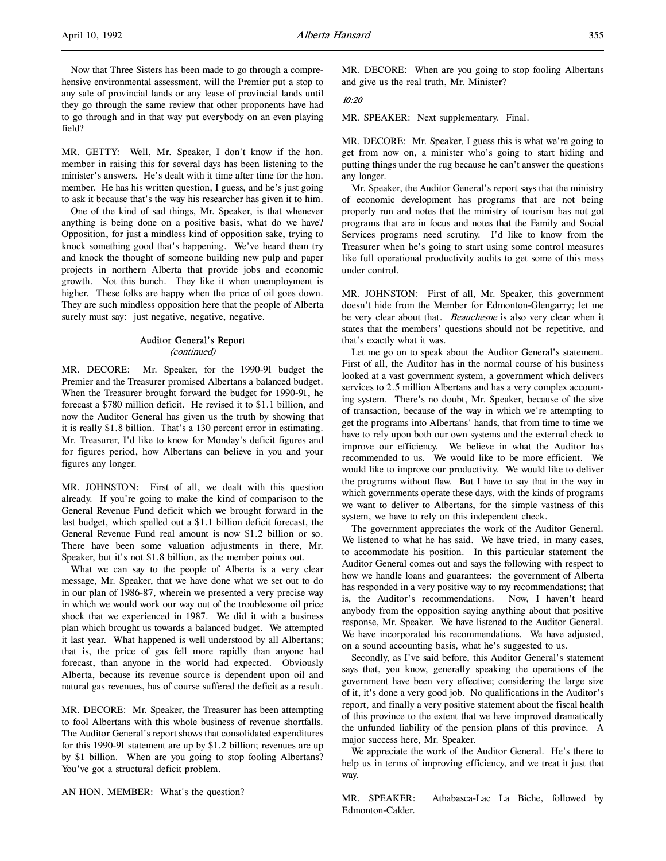Now that Three Sisters has been made to go through a comprehensive environmental assessment, will the Premier put a stop to any sale of provincial lands or any lease of provincial lands until they go through the same review that other proponents have had to go through and in that way put everybody on an even playing field?

MR. GETTY: Well, Mr. Speaker, I don't know if the hon. member in raising this for several days has been listening to the minister's answers. He's dealt with it time after time for the hon. member. He has his written question, I guess, and he's just going to ask it because that's the way his researcher has given it to him.

One of the kind of sad things, Mr. Speaker, is that whenever anything is being done on a positive basis, what do we have? Opposition, for just a mindless kind of opposition sake, trying to knock something good that's happening. We've heard them try and knock the thought of someone building new pulp and paper projects in northern Alberta that provide jobs and economic growth. Not this bunch. They like it when unemployment is higher. These folks are happy when the price of oil goes down. They are such mindless opposition here that the people of Alberta surely must say: just negative, negative, negative.

#### Auditor General's Report (continued)

MR. DECORE: Mr. Speaker, for the 1990-91 budget the Premier and the Treasurer promised Albertans a balanced budget. When the Treasurer brought forward the budget for 1990-91, he forecast a \$780 million deficit. He revised it to \$1.1 billion, and now the Auditor General has given us the truth by showing that it is really \$1.8 billion. That's a 130 percent error in estimating. Mr. Treasurer, I'd like to know for Monday's deficit figures and for figures period, how Albertans can believe in you and your figures any longer.

MR. JOHNSTON: First of all, we dealt with this question already. If you're going to make the kind of comparison to the General Revenue Fund deficit which we brought forward in the last budget, which spelled out a \$1.1 billion deficit forecast, the General Revenue Fund real amount is now \$1.2 billion or so. There have been some valuation adjustments in there, Mr. Speaker, but it's not \$1.8 billion, as the member points out.

What we can say to the people of Alberta is a very clear message, Mr. Speaker, that we have done what we set out to do in our plan of 1986-87, wherein we presented a very precise way in which we would work our way out of the troublesome oil price shock that we experienced in 1987. We did it with a business plan which brought us towards a balanced budget. We attempted it last year. What happened is well understood by all Albertans; that is, the price of gas fell more rapidly than anyone had forecast, than anyone in the world had expected. Obviously Alberta, because its revenue source is dependent upon oil and natural gas revenues, has of course suffered the deficit as a result.

MR. DECORE: Mr. Speaker, the Treasurer has been attempting to fool Albertans with this whole business of revenue shortfalls. The Auditor General's report shows that consolidated expenditures for this 1990-91 statement are up by \$1.2 billion; revenues are up by \$1 billion. When are you going to stop fooling Albertans? You've got a structural deficit problem.

AN HON. MEMBER: What's the question?

MR. DECORE: When are you going to stop fooling Albertans and give us the real truth, Mr. Minister?

## 10:20

MR. SPEAKER: Next supplementary. Final.

MR. DECORE: Mr. Speaker, I guess this is what we're going to get from now on, a minister who's going to start hiding and putting things under the rug because he can't answer the questions any longer.

Mr. Speaker, the Auditor General's report says that the ministry of economic development has programs that are not being properly run and notes that the ministry of tourism has not got programs that are in focus and notes that the Family and Social Services programs need scrutiny. I'd like to know from the Treasurer when he's going to start using some control measures like full operational productivity audits to get some of this mess under control.

MR. JOHNSTON: First of all, Mr. Speaker, this government doesn't hide from the Member for Edmonton-Glengarry; let me be very clear about that. Beauchesne is also very clear when it states that the members' questions should not be repetitive, and that's exactly what it was.

Let me go on to speak about the Auditor General's statement. First of all, the Auditor has in the normal course of his business looked at a vast government system, a government which delivers services to 2.5 million Albertans and has a very complex accounting system. There's no doubt, Mr. Speaker, because of the size of transaction, because of the way in which we're attempting to get the programs into Albertans' hands, that from time to time we have to rely upon both our own systems and the external check to improve our efficiency. We believe in what the Auditor has recommended to us. We would like to be more efficient. We would like to improve our productivity. We would like to deliver the programs without flaw. But I have to say that in the way in which governments operate these days, with the kinds of programs we want to deliver to Albertans, for the simple vastness of this system, we have to rely on this independent check.

The government appreciates the work of the Auditor General. We listened to what he has said. We have tried, in many cases, to accommodate his position. In this particular statement the Auditor General comes out and says the following with respect to how we handle loans and guarantees: the government of Alberta has responded in a very positive way to my recommendations; that is, the Auditor's recommendations. Now, I haven't heard anybody from the opposition saying anything about that positive response, Mr. Speaker. We have listened to the Auditor General. We have incorporated his recommendations. We have adjusted, on a sound accounting basis, what he's suggested to us.

Secondly, as I've said before, this Auditor General's statement says that, you know, generally speaking the operations of the government have been very effective; considering the large size of it, it's done a very good job. No qualifications in the Auditor's report, and finally a very positive statement about the fiscal health of this province to the extent that we have improved dramatically the unfunded liability of the pension plans of this province. A major success here, Mr. Speaker.

We appreciate the work of the Auditor General. He's there to help us in terms of improving efficiency, and we treat it just that way.

MR. SPEAKER: Athabasca-Lac La Biche, followed by Edmonton-Calder.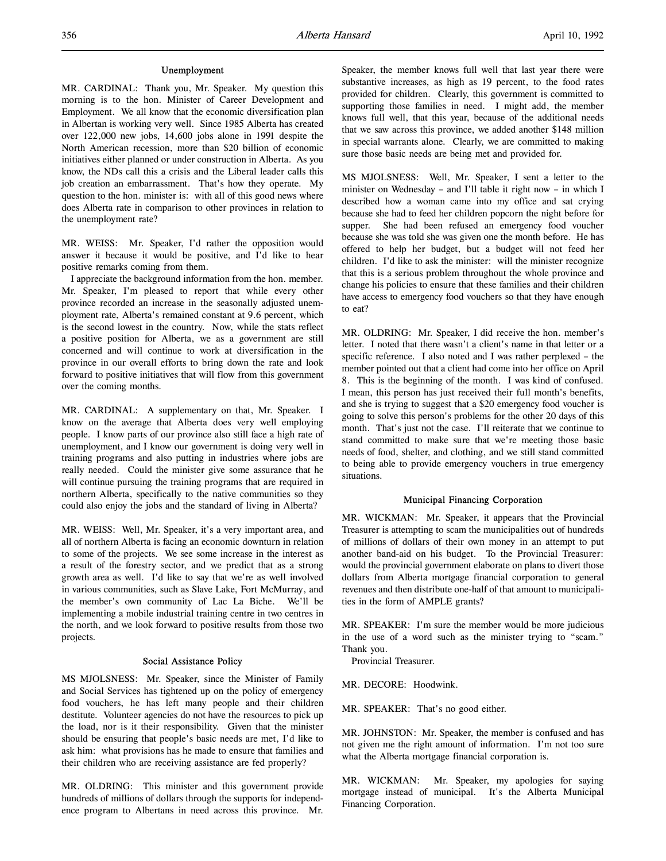MR. CARDINAL: Thank you, Mr. Speaker. My question this morning is to the hon. Minister of Career Development and Employment. We all know that the economic diversification plan in Albertan is working very well. Since 1985 Alberta has created over 122,000 new jobs, 14,600 jobs alone in 1991 despite the North American recession, more than \$20 billion of economic initiatives either planned or under construction in Alberta. As you know, the NDs call this a crisis and the Liberal leader calls this job creation an embarrassment. That's how they operate. My question to the hon. minister is: with all of this good news where does Alberta rate in comparison to other provinces in relation to the unemployment rate?

MR. WEISS: Mr. Speaker, I'd rather the opposition would answer it because it would be positive, and I'd like to hear positive remarks coming from them.

I appreciate the background information from the hon. member. Mr. Speaker, I'm pleased to report that while every other province recorded an increase in the seasonally adjusted unemployment rate, Alberta's remained constant at 9.6 percent, which is the second lowest in the country. Now, while the stats reflect a positive position for Alberta, we as a government are still concerned and will continue to work at diversification in the province in our overall efforts to bring down the rate and look forward to positive initiatives that will flow from this government over the coming months.

MR. CARDINAL: A supplementary on that, Mr. Speaker. I know on the average that Alberta does very well employing people. I know parts of our province also still face a high rate of unemployment, and I know our government is doing very well in training programs and also putting in industries where jobs are really needed. Could the minister give some assurance that he will continue pursuing the training programs that are required in northern Alberta, specifically to the native communities so they could also enjoy the jobs and the standard of living in Alberta?

MR. WEISS: Well, Mr. Speaker, it's a very important area, and all of northern Alberta is facing an economic downturn in relation to some of the projects. We see some increase in the interest as a result of the forestry sector, and we predict that as a strong growth area as well. I'd like to say that we're as well involved in various communities, such as Slave Lake, Fort McMurray, and the member's own community of Lac La Biche. We'll be implementing a mobile industrial training centre in two centres in the north, and we look forward to positive results from those two projects.

### Social Assistance Policy

MS MJOLSNESS: Mr. Speaker, since the Minister of Family and Social Services has tightened up on the policy of emergency food vouchers, he has left many people and their children destitute. Volunteer agencies do not have the resources to pick up the load, nor is it their responsibility. Given that the minister should be ensuring that people's basic needs are met, I'd like to ask him: what provisions has he made to ensure that families and their children who are receiving assistance are fed properly?

MR. OLDRING: This minister and this government provide hundreds of millions of dollars through the supports for independence program to Albertans in need across this province. Mr.

Speaker, the member knows full well that last year there were substantive increases, as high as 19 percent, to the food rates provided for children. Clearly, this government is committed to supporting those families in need. I might add, the member knows full well, that this year, because of the additional needs that we saw across this province, we added another \$148 million in special warrants alone. Clearly, we are committed to making sure those basic needs are being met and provided for.

MS MJOLSNESS: Well, Mr. Speaker, I sent a letter to the minister on Wednesday – and I'll table it right now – in which I described how a woman came into my office and sat crying because she had to feed her children popcorn the night before for supper. She had been refused an emergency food voucher because she was told she was given one the month before. He has offered to help her budget, but a budget will not feed her children. I'd like to ask the minister: will the minister recognize that this is a serious problem throughout the whole province and change his policies to ensure that these families and their children have access to emergency food vouchers so that they have enough to eat?

MR. OLDRING: Mr. Speaker, I did receive the hon. member's letter. I noted that there wasn't a client's name in that letter or a specific reference. I also noted and I was rather perplexed – the member pointed out that a client had come into her office on April 8. This is the beginning of the month. I was kind of confused. I mean, this person has just received their full month's benefits, and she is trying to suggest that a \$20 emergency food voucher is going to solve this person's problems for the other 20 days of this month. That's just not the case. I'll reiterate that we continue to stand committed to make sure that we're meeting those basic needs of food, shelter, and clothing, and we still stand committed to being able to provide emergency vouchers in true emergency situations.

#### Municipal Financing Corporation

MR. WICKMAN: Mr. Speaker, it appears that the Provincial Treasurer is attempting to scam the municipalities out of hundreds of millions of dollars of their own money in an attempt to put another band-aid on his budget. To the Provincial Treasurer: would the provincial government elaborate on plans to divert those dollars from Alberta mortgage financial corporation to general revenues and then distribute one-half of that amount to municipalities in the form of AMPLE grants?

MR. SPEAKER: I'm sure the member would be more judicious in the use of a word such as the minister trying to "scam." Thank you.

Provincial Treasurer.

MR. DECORE: Hoodwink.

MR. SPEAKER: That's no good either.

MR. JOHNSTON: Mr. Speaker, the member is confused and has not given me the right amount of information. I'm not too sure what the Alberta mortgage financial corporation is.

MR. WICKMAN: Mr. Speaker, my apologies for saying mortgage instead of municipal. It's the Alberta Municipal Financing Corporation.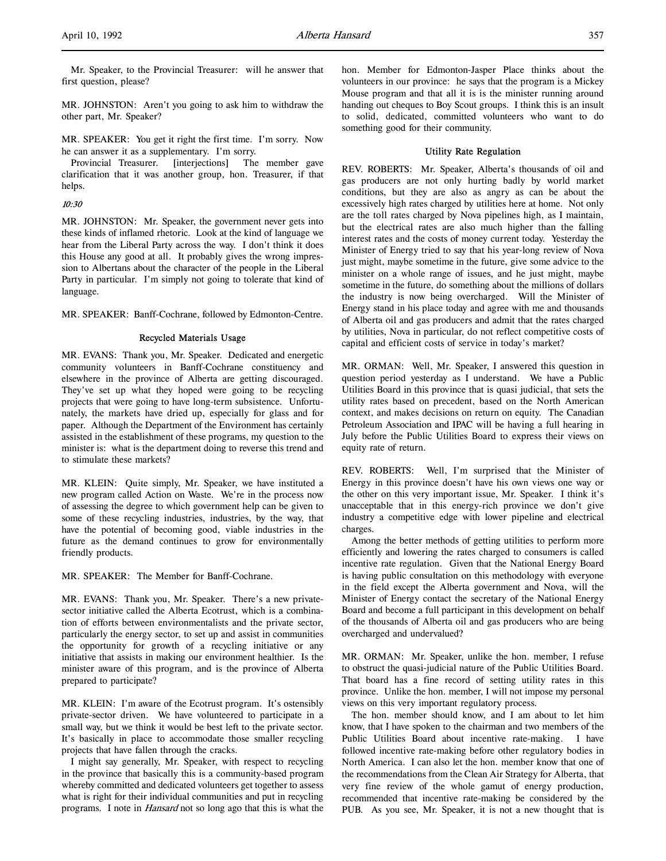MR. JOHNSTON: Aren't you going to ask him to withdraw the other part, Mr. Speaker?

MR. SPEAKER: You get it right the first time. I'm sorry. Now he can answer it as a supplementary. I'm sorry.

Provincial Treasurer. [interjections] The member gave clarification that it was another group, hon. Treasurer, if that helps.

#### 10:30

MR. JOHNSTON: Mr. Speaker, the government never gets into these kinds of inflamed rhetoric. Look at the kind of language we hear from the Liberal Party across the way. I don't think it does this House any good at all. It probably gives the wrong impression to Albertans about the character of the people in the Liberal Party in particular. I'm simply not going to tolerate that kind of language.

MR. SPEAKER: Banff-Cochrane, followed by Edmonton-Centre.

## Recycled Materials Usage

MR. EVANS: Thank you, Mr. Speaker. Dedicated and energetic community volunteers in Banff-Cochrane constituency and elsewhere in the province of Alberta are getting discouraged. They've set up what they hoped were going to be recycling projects that were going to have long-term subsistence. Unfortunately, the markets have dried up, especially for glass and for paper. Although the Department of the Environment has certainly assisted in the establishment of these programs, my question to the minister is: what is the department doing to reverse this trend and to stimulate these markets?

MR. KLEIN: Quite simply, Mr. Speaker, we have instituted a new program called Action on Waste. We're in the process now of assessing the degree to which government help can be given to some of these recycling industries, industries, by the way, that have the potential of becoming good, viable industries in the future as the demand continues to grow for environmentally friendly products.

MR. SPEAKER: The Member for Banff-Cochrane.

MR. EVANS: Thank you, Mr. Speaker. There's a new privatesector initiative called the Alberta Ecotrust, which is a combination of efforts between environmentalists and the private sector, particularly the energy sector, to set up and assist in communities the opportunity for growth of a recycling initiative or any initiative that assists in making our environment healthier. Is the minister aware of this program, and is the province of Alberta prepared to participate?

MR. KLEIN: I'm aware of the Ecotrust program. It's ostensibly private-sector driven. We have volunteered to participate in a small way, but we think it would be best left to the private sector. It's basically in place to accommodate those smaller recycling projects that have fallen through the cracks.

I might say generally, Mr. Speaker, with respect to recycling in the province that basically this is a community-based program whereby committed and dedicated volunteers get together to assess what is right for their individual communities and put in recycling programs. I note in Hansard not so long ago that this is what the

hon. Member for Edmonton-Jasper Place thinks about the volunteers in our province: he says that the program is a Mickey Mouse program and that all it is is the minister running around handing out cheques to Boy Scout groups. I think this is an insult to solid, dedicated, committed volunteers who want to do something good for their community.

## Utility Rate Regulation

REV. ROBERTS: Mr. Speaker, Alberta's thousands of oil and gas producers are not only hurting badly by world market conditions, but they are also as angry as can be about the excessively high rates charged by utilities here at home. Not only are the toll rates charged by Nova pipelines high, as I maintain, but the electrical rates are also much higher than the falling interest rates and the costs of money current today. Yesterday the Minister of Energy tried to say that his year-long review of Nova just might, maybe sometime in the future, give some advice to the minister on a whole range of issues, and he just might, maybe sometime in the future, do something about the millions of dollars the industry is now being overcharged. Will the Minister of Energy stand in his place today and agree with me and thousands of Alberta oil and gas producers and admit that the rates charged by utilities, Nova in particular, do not reflect competitive costs of capital and efficient costs of service in today's market?

MR. ORMAN: Well, Mr. Speaker, I answered this question in question period yesterday as I understand. We have a Public Utilities Board in this province that is quasi judicial, that sets the utility rates based on precedent, based on the North American context, and makes decisions on return on equity. The Canadian Petroleum Association and IPAC will be having a full hearing in July before the Public Utilities Board to express their views on equity rate of return.

REV. ROBERTS: Well, I'm surprised that the Minister of Energy in this province doesn't have his own views one way or the other on this very important issue, Mr. Speaker. I think it's unacceptable that in this energy-rich province we don't give industry a competitive edge with lower pipeline and electrical charges.

Among the better methods of getting utilities to perform more efficiently and lowering the rates charged to consumers is called incentive rate regulation. Given that the National Energy Board is having public consultation on this methodology with everyone in the field except the Alberta government and Nova, will the Minister of Energy contact the secretary of the National Energy Board and become a full participant in this development on behalf of the thousands of Alberta oil and gas producers who are being overcharged and undervalued?

MR. ORMAN: Mr. Speaker, unlike the hon. member, I refuse to obstruct the quasi-judicial nature of the Public Utilities Board. That board has a fine record of setting utility rates in this province. Unlike the hon. member, I will not impose my personal views on this very important regulatory process.

The hon. member should know, and I am about to let him know, that I have spoken to the chairman and two members of the Public Utilities Board about incentive rate-making. I have followed incentive rate-making before other regulatory bodies in North America. I can also let the hon. member know that one of the recommendations from the Clean Air Strategy for Alberta, that very fine review of the whole gamut of energy production, recommended that incentive rate-making be considered by the PUB. As you see, Mr. Speaker, it is not a new thought that is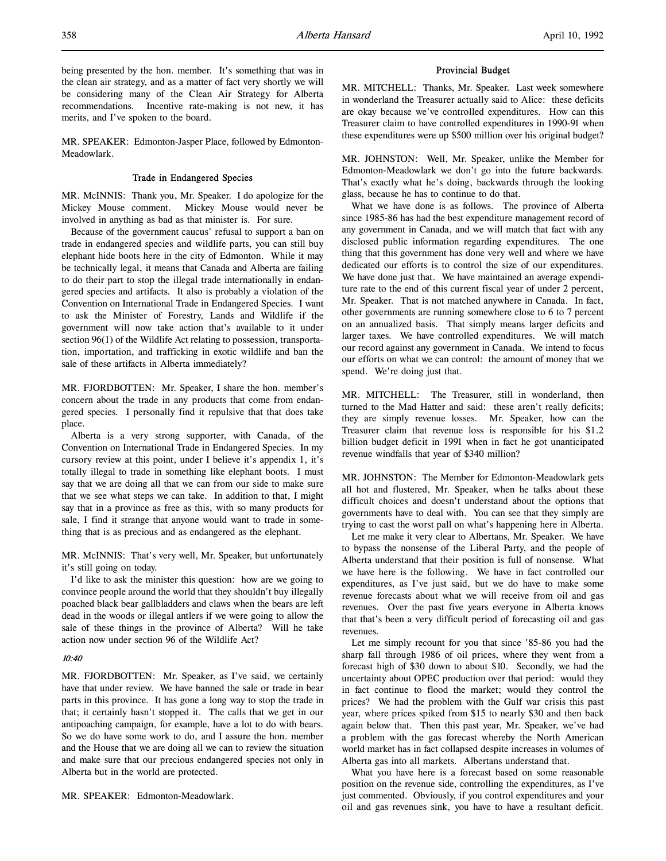MR. SPEAKER: Edmonton-Jasper Place, followed by Edmonton-Meadowlark.

## Trade in Endangered Species

MR. McINNIS: Thank you, Mr. Speaker. I do apologize for the Mickey Mouse comment. Mickey Mouse would never be involved in anything as bad as that minister is. For sure.

Because of the government caucus' refusal to support a ban on trade in endangered species and wildlife parts, you can still buy elephant hide boots here in the city of Edmonton. While it may be technically legal, it means that Canada and Alberta are failing to do their part to stop the illegal trade internationally in endangered species and artifacts. It also is probably a violation of the Convention on International Trade in Endangered Species. I want to ask the Minister of Forestry, Lands and Wildlife if the government will now take action that's available to it under section 96(1) of the Wildlife Act relating to possession, transportation, importation, and trafficking in exotic wildlife and ban the sale of these artifacts in Alberta immediately?

MR. FJORDBOTTEN: Mr. Speaker, I share the hon. member's concern about the trade in any products that come from endangered species. I personally find it repulsive that that does take place.

Alberta is a very strong supporter, with Canada, of the Convention on International Trade in Endangered Species. In my cursory review at this point, under I believe it's appendix 1, it's totally illegal to trade in something like elephant boots. I must say that we are doing all that we can from our side to make sure that we see what steps we can take. In addition to that, I might say that in a province as free as this, with so many products for sale, I find it strange that anyone would want to trade in something that is as precious and as endangered as the elephant.

MR. McINNIS: That's very well, Mr. Speaker, but unfortunately it's still going on today.

I'd like to ask the minister this question: how are we going to convince people around the world that they shouldn't buy illegally poached black bear gallbladders and claws when the bears are left dead in the woods or illegal antlers if we were going to allow the sale of these things in the province of Alberta? Will he take action now under section 96 of the Wildlife Act?

## 10:40

MR. FJORDBOTTEN: Mr. Speaker, as I've said, we certainly have that under review. We have banned the sale or trade in bear parts in this province. It has gone a long way to stop the trade in that; it certainly hasn't stopped it. The calls that we get in our antipoaching campaign, for example, have a lot to do with bears. So we do have some work to do, and I assure the hon. member and the House that we are doing all we can to review the situation and make sure that our precious endangered species not only in Alberta but in the world are protected.

MR. SPEAKER: Edmonton-Meadowlark.

#### Provincial Budget

MR. MITCHELL: Thanks, Mr. Speaker. Last week somewhere in wonderland the Treasurer actually said to Alice: these deficits are okay because we've controlled expenditures. How can this Treasurer claim to have controlled expenditures in 1990-91 when these expenditures were up \$500 million over his original budget?

MR. JOHNSTON: Well, Mr. Speaker, unlike the Member for Edmonton-Meadowlark we don't go into the future backwards. That's exactly what he's doing, backwards through the looking glass, because he has to continue to do that.

What we have done is as follows. The province of Alberta since 1985-86 has had the best expenditure management record of any government in Canada, and we will match that fact with any disclosed public information regarding expenditures. The one thing that this government has done very well and where we have dedicated our efforts is to control the size of our expenditures. We have done just that. We have maintained an average expenditure rate to the end of this current fiscal year of under 2 percent, Mr. Speaker. That is not matched anywhere in Canada. In fact, other governments are running somewhere close to 6 to 7 percent on an annualized basis. That simply means larger deficits and larger taxes. We have controlled expenditures. We will match our record against any government in Canada. We intend to focus our efforts on what we can control: the amount of money that we spend. We're doing just that.

MR. MITCHELL: The Treasurer, still in wonderland, then turned to the Mad Hatter and said: these aren't really deficits; they are simply revenue losses. Mr. Speaker, how can the Treasurer claim that revenue loss is responsible for his \$1.2 billion budget deficit in 1991 when in fact he got unanticipated revenue windfalls that year of \$340 million?

MR. JOHNSTON: The Member for Edmonton-Meadowlark gets all hot and flustered, Mr. Speaker, when he talks about these difficult choices and doesn't understand about the options that governments have to deal with. You can see that they simply are trying to cast the worst pall on what's happening here in Alberta.

Let me make it very clear to Albertans, Mr. Speaker. We have to bypass the nonsense of the Liberal Party, and the people of Alberta understand that their position is full of nonsense. What we have here is the following. We have in fact controlled our expenditures, as I've just said, but we do have to make some revenue forecasts about what we will receive from oil and gas revenues. Over the past five years everyone in Alberta knows that that's been a very difficult period of forecasting oil and gas revenues.

Let me simply recount for you that since '85-86 you had the sharp fall through 1986 of oil prices, where they went from a forecast high of \$30 down to about \$10. Secondly, we had the uncertainty about OPEC production over that period: would they in fact continue to flood the market; would they control the prices? We had the problem with the Gulf war crisis this past year, where prices spiked from \$15 to nearly \$30 and then back again below that. Then this past year, Mr. Speaker, we've had a problem with the gas forecast whereby the North American world market has in fact collapsed despite increases in volumes of Alberta gas into all markets. Albertans understand that.

What you have here is a forecast based on some reasonable position on the revenue side, controlling the expenditures, as I've just commented. Obviously, if you control expenditures and your oil and gas revenues sink, you have to have a resultant deficit.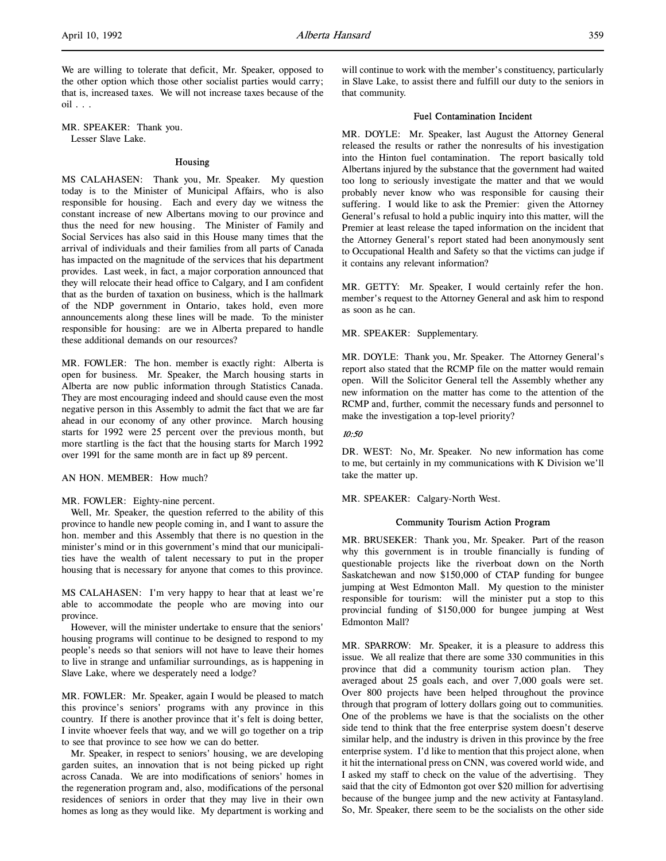We are willing to tolerate that deficit, Mr. Speaker, opposed to the other option which those other socialist parties would carry; that is, increased taxes. We will not increase taxes because of the oil . . .

MR. SPEAKER: Thank you. Lesser Slave Lake.

#### Housing

MS CALAHASEN: Thank you, Mr. Speaker. My question today is to the Minister of Municipal Affairs, who is also responsible for housing. Each and every day we witness the constant increase of new Albertans moving to our province and thus the need for new housing. The Minister of Family and Social Services has also said in this House many times that the arrival of individuals and their families from all parts of Canada has impacted on the magnitude of the services that his department provides. Last week, in fact, a major corporation announced that they will relocate their head office to Calgary, and I am confident that as the burden of taxation on business, which is the hallmark of the NDP government in Ontario, takes hold, even more announcements along these lines will be made. To the minister responsible for housing: are we in Alberta prepared to handle these additional demands on our resources?

MR. FOWLER: The hon. member is exactly right: Alberta is open for business. Mr. Speaker, the March housing starts in Alberta are now public information through Statistics Canada. They are most encouraging indeed and should cause even the most negative person in this Assembly to admit the fact that we are far ahead in our economy of any other province. March housing starts for 1992 were 25 percent over the previous month, but more startling is the fact that the housing starts for March 1992 over 1991 for the same month are in fact up 89 percent.

AN HON. MEMBER: How much?

#### MR. FOWLER: Eighty-nine percent.

Well, Mr. Speaker, the question referred to the ability of this province to handle new people coming in, and I want to assure the hon. member and this Assembly that there is no question in the minister's mind or in this government's mind that our municipalities have the wealth of talent necessary to put in the proper housing that is necessary for anyone that comes to this province.

MS CALAHASEN: I'm very happy to hear that at least we're able to accommodate the people who are moving into our province.

However, will the minister undertake to ensure that the seniors' housing programs will continue to be designed to respond to my people's needs so that seniors will not have to leave their homes to live in strange and unfamiliar surroundings, as is happening in Slave Lake, where we desperately need a lodge?

MR. FOWLER: Mr. Speaker, again I would be pleased to match this province's seniors' programs with any province in this country. If there is another province that it's felt is doing better, I invite whoever feels that way, and we will go together on a trip to see that province to see how we can do better.

Mr. Speaker, in respect to seniors' housing, we are developing garden suites, an innovation that is not being picked up right across Canada. We are into modifications of seniors' homes in the regeneration program and, also, modifications of the personal residences of seniors in order that they may live in their own homes as long as they would like. My department is working and will continue to work with the member's constituency, particularly in Slave Lake, to assist there and fulfill our duty to the seniors in that community.

#### Fuel Contamination Incident

MR. DOYLE: Mr. Speaker, last August the Attorney General released the results or rather the nonresults of his investigation into the Hinton fuel contamination. The report basically told Albertans injured by the substance that the government had waited too long to seriously investigate the matter and that we would probably never know who was responsible for causing their suffering. I would like to ask the Premier: given the Attorney General's refusal to hold a public inquiry into this matter, will the Premier at least release the taped information on the incident that the Attorney General's report stated had been anonymously sent to Occupational Health and Safety so that the victims can judge if it contains any relevant information?

MR. GETTY: Mr. Speaker, I would certainly refer the hon. member's request to the Attorney General and ask him to respond as soon as he can.

MR. SPEAKER: Supplementary.

MR. DOYLE: Thank you, Mr. Speaker. The Attorney General's report also stated that the RCMP file on the matter would remain open. Will the Solicitor General tell the Assembly whether any new information on the matter has come to the attention of the RCMP and, further, commit the necessary funds and personnel to make the investigation a top-level priority?

#### 10:50

DR. WEST: No, Mr. Speaker. No new information has come to me, but certainly in my communications with K Division we'll take the matter up.

MR. SPEAKER: Calgary-North West.

#### Community Tourism Action Program

MR. BRUSEKER: Thank you, Mr. Speaker. Part of the reason why this government is in trouble financially is funding of questionable projects like the riverboat down on the North Saskatchewan and now \$150,000 of CTAP funding for bungee jumping at West Edmonton Mall. My question to the minister responsible for tourism: will the minister put a stop to this provincial funding of \$150,000 for bungee jumping at West Edmonton Mall?

MR. SPARROW: Mr. Speaker, it is a pleasure to address this issue. We all realize that there are some 330 communities in this province that did a community tourism action plan. They averaged about 25 goals each, and over 7,000 goals were set. Over 800 projects have been helped throughout the province through that program of lottery dollars going out to communities. One of the problems we have is that the socialists on the other side tend to think that the free enterprise system doesn't deserve similar help, and the industry is driven in this province by the free enterprise system. I'd like to mention that this project alone, when it hit the international press on CNN, was covered world wide, and I asked my staff to check on the value of the advertising. They said that the city of Edmonton got over \$20 million for advertising because of the bungee jump and the new activity at Fantasyland. So, Mr. Speaker, there seem to be the socialists on the other side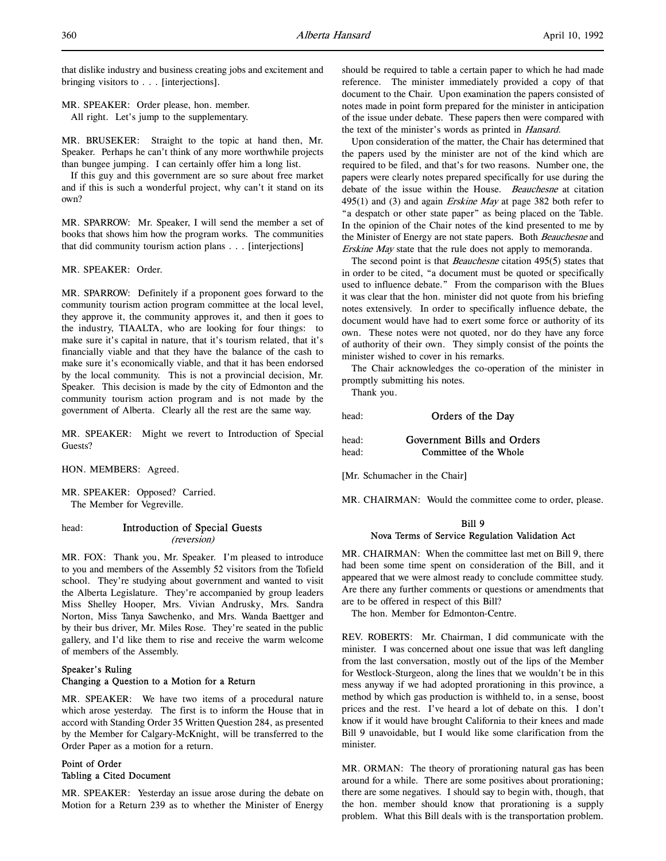that dislike industry and business creating jobs and excitement and bringing visitors to . . . [interjections].

MR. SPEAKER: Order please, hon. member. All right. Let's jump to the supplementary.

MR. BRUSEKER: Straight to the topic at hand then, Mr. Speaker. Perhaps he can't think of any more worthwhile projects than bungee jumping. I can certainly offer him a long list.

If this guy and this government are so sure about free market and if this is such a wonderful project, why can't it stand on its own?

MR. SPARROW: Mr. Speaker, I will send the member a set of books that shows him how the program works. The communities that did community tourism action plans . . . [interjections]

MR. SPEAKER: Order.

MR. SPARROW: Definitely if a proponent goes forward to the community tourism action program committee at the local level, they approve it, the community approves it, and then it goes to the industry, TIAALTA, who are looking for four things: to make sure it's capital in nature, that it's tourism related, that it's financially viable and that they have the balance of the cash to make sure it's economically viable, and that it has been endorsed by the local community. This is not a provincial decision, Mr. Speaker. This decision is made by the city of Edmonton and the community tourism action program and is not made by the government of Alberta. Clearly all the rest are the same way.

MR. SPEAKER: Might we revert to Introduction of Special Guests?

HON. MEMBERS: Agreed.

MR. SPEAKER: Opposed? Carried. The Member for Vegreville.

### head: Introduction of Special Guests (reversion)

MR. FOX: Thank you, Mr. Speaker. I'm pleased to introduce to you and members of the Assembly 52 visitors from the Tofield school. They're studying about government and wanted to visit the Alberta Legislature. They're accompanied by group leaders Miss Shelley Hooper, Mrs. Vivian Andrusky, Mrs. Sandra Norton, Miss Tanya Sawchenko, and Mrs. Wanda Baettger and by their bus driver, Mr. Miles Rose. They're seated in the public gallery, and I'd like them to rise and receive the warm welcome of members of the Assembly.

## Speaker's Ruling Changing a Question to a Motion for a Return

MR. SPEAKER: We have two items of a procedural nature which arose yesterday. The first is to inform the House that in accord with Standing Order 35 Written Question 284, as presented by the Member for Calgary-McKnight, will be transferred to the Order Paper as a motion for a return.

## Point of Order Tabling a Cited Document

MR. SPEAKER: Yesterday an issue arose during the debate on Motion for a Return 239 as to whether the Minister of Energy should be required to table a certain paper to which he had made reference. The minister immediately provided a copy of that document to the Chair. Upon examination the papers consisted of notes made in point form prepared for the minister in anticipation of the issue under debate. These papers then were compared with the text of the minister's words as printed in Hansard.

Upon consideration of the matter, the Chair has determined that the papers used by the minister are not of the kind which are required to be filed, and that's for two reasons. Number one, the papers were clearly notes prepared specifically for use during the debate of the issue within the House. Beauchesne at citation 495(1) and (3) and again *Erskine May* at page 382 both refer to "a despatch or other state paper" as being placed on the Table. In the opinion of the Chair notes of the kind presented to me by the Minister of Energy are not state papers. Both Beauchesne and Erskine May state that the rule does not apply to memoranda.

The second point is that *Beauchesne* citation 495(5) states that in order to be cited, "a document must be quoted or specifically used to influence debate." From the comparison with the Blues it was clear that the hon. minister did not quote from his briefing notes extensively. In order to specifically influence debate, the document would have had to exert some force or authority of its own. These notes were not quoted, nor do they have any force of authority of their own. They simply consist of the points the minister wished to cover in his remarks.

The Chair acknowledges the co-operation of the minister in promptly submitting his notes.

Thank you.

head: **Orders of the Day** 

| head: | Government Bills and Orders |
|-------|-----------------------------|
| head: | Committee of the Whole      |

[Mr. Schumacher in the Chair]

MR. CHAIRMAN: Would the committee come to order, please.

## Bill 9 Nova Terms of Service Regulation Validation Act

MR. CHAIRMAN: When the committee last met on Bill 9, there had been some time spent on consideration of the Bill, and it appeared that we were almost ready to conclude committee study. Are there any further comments or questions or amendments that are to be offered in respect of this Bill?

The hon. Member for Edmonton-Centre.

REV. ROBERTS: Mr. Chairman, I did communicate with the minister. I was concerned about one issue that was left dangling from the last conversation, mostly out of the lips of the Member for Westlock-Sturgeon, along the lines that we wouldn't be in this mess anyway if we had adopted prorationing in this province, a method by which gas production is withheld to, in a sense, boost prices and the rest. I've heard a lot of debate on this. I don't know if it would have brought California to their knees and made Bill 9 unavoidable, but I would like some clarification from the minister.

MR. ORMAN: The theory of prorationing natural gas has been around for a while. There are some positives about prorationing; there are some negatives. I should say to begin with, though, that the hon. member should know that prorationing is a supply problem. What this Bill deals with is the transportation problem.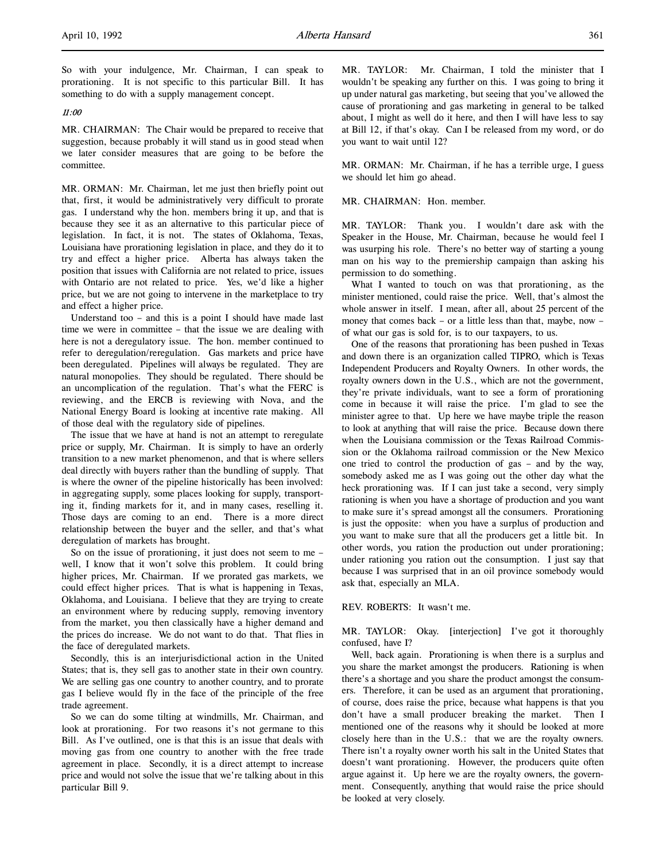## 11:00

MR. CHAIRMAN: The Chair would be prepared to receive that suggestion, because probably it will stand us in good stead when we later consider measures that are going to be before the committee.

MR. ORMAN: Mr. Chairman, let me just then briefly point out that, first, it would be administratively very difficult to prorate gas. I understand why the hon. members bring it up, and that is because they see it as an alternative to this particular piece of legislation. In fact, it is not. The states of Oklahoma, Texas, Louisiana have prorationing legislation in place, and they do it to try and effect a higher price. Alberta has always taken the position that issues with California are not related to price, issues with Ontario are not related to price. Yes, we'd like a higher price, but we are not going to intervene in the marketplace to try and effect a higher price.

Understand too – and this is a point I should have made last time we were in committee – that the issue we are dealing with here is not a deregulatory issue. The hon. member continued to refer to deregulation/reregulation. Gas markets and price have been deregulated. Pipelines will always be regulated. They are natural monopolies. They should be regulated. There should be an uncomplication of the regulation. That's what the FERC is reviewing, and the ERCB is reviewing with Nova, and the National Energy Board is looking at incentive rate making. All of those deal with the regulatory side of pipelines.

The issue that we have at hand is not an attempt to reregulate price or supply, Mr. Chairman. It is simply to have an orderly transition to a new market phenomenon, and that is where sellers deal directly with buyers rather than the bundling of supply. That is where the owner of the pipeline historically has been involved: in aggregating supply, some places looking for supply, transporting it, finding markets for it, and in many cases, reselling it. Those days are coming to an end. There is a more direct relationship between the buyer and the seller, and that's what deregulation of markets has brought.

So on the issue of prorationing, it just does not seem to me – well, I know that it won't solve this problem. It could bring higher prices, Mr. Chairman. If we prorated gas markets, we could effect higher prices. That is what is happening in Texas, Oklahoma, and Louisiana. I believe that they are trying to create an environment where by reducing supply, removing inventory from the market, you then classically have a higher demand and the prices do increase. We do not want to do that. That flies in the face of deregulated markets.

Secondly, this is an interjurisdictional action in the United States; that is, they sell gas to another state in their own country. We are selling gas one country to another country, and to prorate gas I believe would fly in the face of the principle of the free trade agreement.

So we can do some tilting at windmills, Mr. Chairman, and look at prorationing. For two reasons it's not germane to this Bill. As I've outlined, one is that this is an issue that deals with moving gas from one country to another with the free trade agreement in place. Secondly, it is a direct attempt to increase price and would not solve the issue that we're talking about in this particular Bill 9.

MR. TAYLOR: Mr. Chairman, I told the minister that I wouldn't be speaking any further on this. I was going to bring it up under natural gas marketing, but seeing that you've allowed the cause of prorationing and gas marketing in general to be talked about, I might as well do it here, and then I will have less to say at Bill 12, if that's okay. Can I be released from my word, or do you want to wait until 12?

MR. ORMAN: Mr. Chairman, if he has a terrible urge, I guess we should let him go ahead.

MR. CHAIRMAN: Hon. member.

MR. TAYLOR: Thank you. I wouldn't dare ask with the Speaker in the House, Mr. Chairman, because he would feel I was usurping his role. There's no better way of starting a young man on his way to the premiership campaign than asking his permission to do something.

What I wanted to touch on was that prorationing, as the minister mentioned, could raise the price. Well, that's almost the whole answer in itself. I mean, after all, about 25 percent of the money that comes back – or a little less than that, maybe, now – of what our gas is sold for, is to our taxpayers, to us.

One of the reasons that prorationing has been pushed in Texas and down there is an organization called TIPRO, which is Texas Independent Producers and Royalty Owners. In other words, the royalty owners down in the U.S., which are not the government, they're private individuals, want to see a form of prorationing come in because it will raise the price. I'm glad to see the minister agree to that. Up here we have maybe triple the reason to look at anything that will raise the price. Because down there when the Louisiana commission or the Texas Railroad Commission or the Oklahoma railroad commission or the New Mexico one tried to control the production of gas – and by the way, somebody asked me as I was going out the other day what the heck prorationing was. If I can just take a second, very simply rationing is when you have a shortage of production and you want to make sure it's spread amongst all the consumers. Prorationing is just the opposite: when you have a surplus of production and you want to make sure that all the producers get a little bit. In other words, you ration the production out under prorationing; under rationing you ration out the consumption. I just say that because I was surprised that in an oil province somebody would ask that, especially an MLA.

## REV. ROBERTS: It wasn't me.

MR. TAYLOR: Okay. [interjection] I've got it thoroughly confused, have I?

Well, back again. Prorationing is when there is a surplus and you share the market amongst the producers. Rationing is when there's a shortage and you share the product amongst the consumers. Therefore, it can be used as an argument that prorationing, of course, does raise the price, because what happens is that you don't have a small producer breaking the market. Then I mentioned one of the reasons why it should be looked at more closely here than in the U.S.: that we are the royalty owners. There isn't a royalty owner worth his salt in the United States that doesn't want prorationing. However, the producers quite often argue against it. Up here we are the royalty owners, the government. Consequently, anything that would raise the price should be looked at very closely.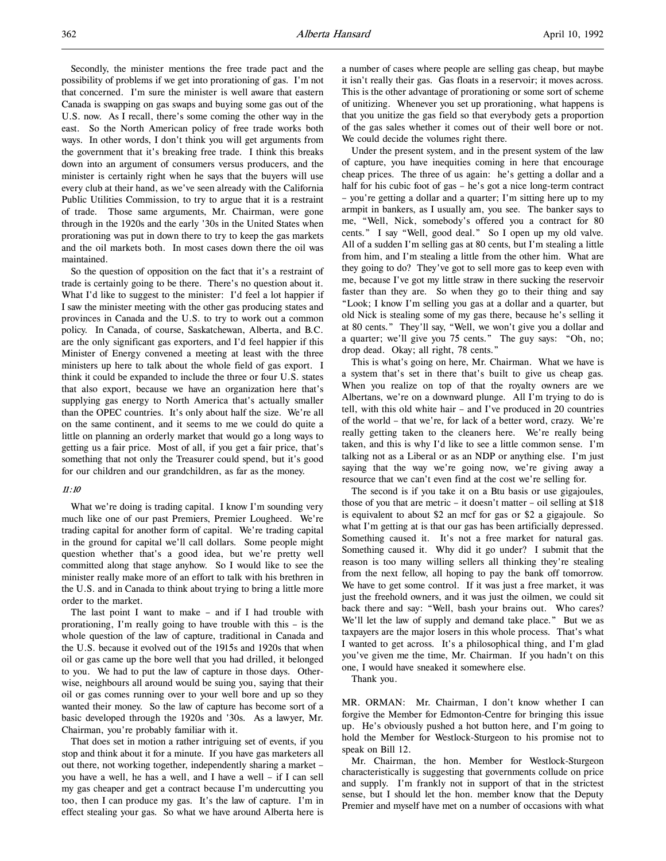Secondly, the minister mentions the free trade pact and the possibility of problems if we get into prorationing of gas. I'm not that concerned. I'm sure the minister is well aware that eastern Canada is swapping on gas swaps and buying some gas out of the U.S. now. As I recall, there's some coming the other way in the east. So the North American policy of free trade works both ways. In other words, I don't think you will get arguments from the government that it's breaking free trade. I think this breaks down into an argument of consumers versus producers, and the minister is certainly right when he says that the buyers will use every club at their hand, as we've seen already with the California Public Utilities Commission, to try to argue that it is a restraint of trade. Those same arguments, Mr. Chairman, were gone through in the 1920s and the early '30s in the United States when prorationing was put in down there to try to keep the gas markets and the oil markets both. In most cases down there the oil was maintained.

So the question of opposition on the fact that it's a restraint of trade is certainly going to be there. There's no question about it. What I'd like to suggest to the minister: I'd feel a lot happier if I saw the minister meeting with the other gas producing states and provinces in Canada and the U.S. to try to work out a common policy. In Canada, of course, Saskatchewan, Alberta, and B.C. are the only significant gas exporters, and I'd feel happier if this Minister of Energy convened a meeting at least with the three ministers up here to talk about the whole field of gas export. I think it could be expanded to include the three or four U.S. states that also export, because we have an organization here that's supplying gas energy to North America that's actually smaller than the OPEC countries. It's only about half the size. We're all on the same continent, and it seems to me we could do quite a little on planning an orderly market that would go a long ways to getting us a fair price. Most of all, if you get a fair price, that's something that not only the Treasurer could spend, but it's good for our children and our grandchildren, as far as the money.

## 11:10

What we're doing is trading capital. I know I'm sounding very much like one of our past Premiers, Premier Lougheed. We're trading capital for another form of capital. We're trading capital in the ground for capital we'll call dollars. Some people might question whether that's a good idea, but we're pretty well committed along that stage anyhow. So I would like to see the minister really make more of an effort to talk with his brethren in the U.S. and in Canada to think about trying to bring a little more order to the market.

The last point I want to make – and if I had trouble with prorationing, I'm really going to have trouble with this – is the whole question of the law of capture, traditional in Canada and the U.S. because it evolved out of the 1915s and 1920s that when oil or gas came up the bore well that you had drilled, it belonged to you. We had to put the law of capture in those days. Otherwise, neighbours all around would be suing you, saying that their oil or gas comes running over to your well bore and up so they wanted their money. So the law of capture has become sort of a basic developed through the 1920s and '30s. As a lawyer, Mr. Chairman, you're probably familiar with it.

That does set in motion a rather intriguing set of events, if you stop and think about it for a minute. If you have gas marketers all out there, not working together, independently sharing a market – you have a well, he has a well, and I have a well – if I can sell my gas cheaper and get a contract because I'm undercutting you too, then I can produce my gas. It's the law of capture. I'm in effect stealing your gas. So what we have around Alberta here is

a number of cases where people are selling gas cheap, but maybe it isn't really their gas. Gas floats in a reservoir; it moves across. This is the other advantage of prorationing or some sort of scheme of unitizing. Whenever you set up prorationing, what happens is that you unitize the gas field so that everybody gets a proportion of the gas sales whether it comes out of their well bore or not. We could decide the volumes right there.

Under the present system, and in the present system of the law of capture, you have inequities coming in here that encourage cheap prices. The three of us again: he's getting a dollar and a half for his cubic foot of gas – he's got a nice long-term contract – you're getting a dollar and a quarter; I'm sitting here up to my armpit in bankers, as I usually am, you see. The banker says to me, "Well, Nick, somebody's offered you a contract for 80 cents." I say "Well, good deal." So I open up my old valve. All of a sudden I'm selling gas at 80 cents, but I'm stealing a little from him, and I'm stealing a little from the other him. What are they going to do? They've got to sell more gas to keep even with me, because I've got my little straw in there sucking the reservoir faster than they are. So when they go to their thing and say "Look; I know I'm selling you gas at a dollar and a quarter, but old Nick is stealing some of my gas there, because he's selling it at 80 cents." They'll say, "Well, we won't give you a dollar and a quarter; we'll give you 75 cents." The guy says: "Oh, no; drop dead. Okay; all right, 78 cents."

This is what's going on here, Mr. Chairman. What we have is a system that's set in there that's built to give us cheap gas. When you realize on top of that the royalty owners are we Albertans, we're on a downward plunge. All I'm trying to do is tell, with this old white hair – and I've produced in 20 countries of the world – that we're, for lack of a better word, crazy. We're really getting taken to the cleaners here. We're really being taken, and this is why I'd like to see a little common sense. I'm talking not as a Liberal or as an NDP or anything else. I'm just saying that the way we're going now, we're giving away a resource that we can't even find at the cost we're selling for.

The second is if you take it on a Btu basis or use gigajoules, those of you that are metric – it doesn't matter – oil selling at \$18 is equivalent to about \$2 an mcf for gas or \$2 a gigajoule. So what I'm getting at is that our gas has been artificially depressed. Something caused it. It's not a free market for natural gas. Something caused it. Why did it go under? I submit that the reason is too many willing sellers all thinking they're stealing from the next fellow, all hoping to pay the bank off tomorrow. We have to get some control. If it was just a free market, it was just the freehold owners, and it was just the oilmen, we could sit back there and say: "Well, bash your brains out. Who cares? We'll let the law of supply and demand take place." But we as taxpayers are the major losers in this whole process. That's what I wanted to get across. It's a philosophical thing, and I'm glad you've given me the time, Mr. Chairman. If you hadn't on this one, I would have sneaked it somewhere else.

Thank you.

MR. ORMAN: Mr. Chairman, I don't know whether I can forgive the Member for Edmonton-Centre for bringing this issue up. He's obviously pushed a hot button here, and I'm going to hold the Member for Westlock-Sturgeon to his promise not to speak on Bill 12.

Mr. Chairman, the hon. Member for Westlock-Sturgeon characteristically is suggesting that governments collude on price and supply. I'm frankly not in support of that in the strictest sense, but I should let the hon. member know that the Deputy Premier and myself have met on a number of occasions with what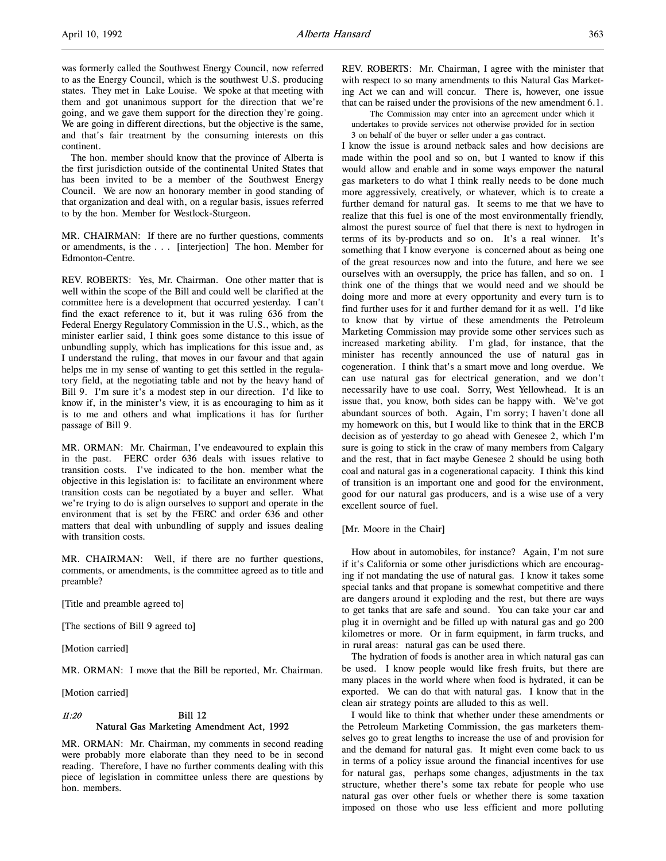was formerly called the Southwest Energy Council, now referred to as the Energy Council, which is the southwest U.S. producing states. They met in Lake Louise. We spoke at that meeting with them and got unanimous support for the direction that we're going, and we gave them support for the direction they're going. We are going in different directions, but the objective is the same, and that's fair treatment by the consuming interests on this continent.

The hon. member should know that the province of Alberta is the first jurisdiction outside of the continental United States that has been invited to be a member of the Southwest Energy Council. We are now an honorary member in good standing of that organization and deal with, on a regular basis, issues referred to by the hon. Member for Westlock-Sturgeon.

MR. CHAIRMAN: If there are no further questions, comments or amendments, is the . . . [interjection] The hon. Member for Edmonton-Centre.

REV. ROBERTS: Yes, Mr. Chairman. One other matter that is well within the scope of the Bill and could well be clarified at the committee here is a development that occurred yesterday. I can't find the exact reference to it, but it was ruling 636 from the Federal Energy Regulatory Commission in the U.S., which, as the minister earlier said, I think goes some distance to this issue of unbundling supply, which has implications for this issue and, as I understand the ruling, that moves in our favour and that again helps me in my sense of wanting to get this settled in the regulatory field, at the negotiating table and not by the heavy hand of Bill 9. I'm sure it's a modest step in our direction. I'd like to know if, in the minister's view, it is as encouraging to him as it is to me and others and what implications it has for further passage of Bill 9.

MR. ORMAN: Mr. Chairman, I've endeavoured to explain this in the past. FERC order 636 deals with issues relative to transition costs. I've indicated to the hon. member what the objective in this legislation is: to facilitate an environment where transition costs can be negotiated by a buyer and seller. What we're trying to do is align ourselves to support and operate in the environment that is set by the FERC and order 636 and other matters that deal with unbundling of supply and issues dealing with transition costs.

MR. CHAIRMAN: Well, if there are no further questions, comments, or amendments, is the committee agreed as to title and preamble?

[Title and preamble agreed to]

[The sections of Bill 9 agreed to]

[Motion carried]

MR. ORMAN: I move that the Bill be reported, Mr. Chairman.

[Motion carried]

## 11:20 Bill 12 Natural Gas Marketing Amendment Act, 1992

MR. ORMAN: Mr. Chairman, my comments in second reading were probably more elaborate than they need to be in second reading. Therefore, I have no further comments dealing with this piece of legislation in committee unless there are questions by hon. members.

REV. ROBERTS: Mr. Chairman, I agree with the minister that with respect to so many amendments to this Natural Gas Marketing Act we can and will concur. There is, however, one issue that can be raised under the provisions of the new amendment 6.1.

The Commission may enter into an agreement under which it undertakes to provide services not otherwise provided for in section 3 on behalf of the buyer or seller under a gas contract.

I know the issue is around netback sales and how decisions are made within the pool and so on, but I wanted to know if this would allow and enable and in some ways empower the natural gas marketers to do what I think really needs to be done much more aggressively, creatively, or whatever, which is to create a further demand for natural gas. It seems to me that we have to realize that this fuel is one of the most environmentally friendly, almost the purest source of fuel that there is next to hydrogen in terms of its by-products and so on. It's a real winner. It's something that I know everyone is concerned about as being one of the great resources now and into the future, and here we see ourselves with an oversupply, the price has fallen, and so on. I think one of the things that we would need and we should be doing more and more at every opportunity and every turn is to find further uses for it and further demand for it as well. I'd like to know that by virtue of these amendments the Petroleum Marketing Commission may provide some other services such as increased marketing ability. I'm glad, for instance, that the minister has recently announced the use of natural gas in cogeneration. I think that's a smart move and long overdue. We can use natural gas for electrical generation, and we don't necessarily have to use coal. Sorry, West Yellowhead. It is an issue that, you know, both sides can be happy with. We've got abundant sources of both. Again, I'm sorry; I haven't done all my homework on this, but I would like to think that in the ERCB decision as of yesterday to go ahead with Genesee 2, which I'm sure is going to stick in the craw of many members from Calgary and the rest, that in fact maybe Genesee 2 should be using both coal and natural gas in a cogenerational capacity. I think this kind of transition is an important one and good for the environment, good for our natural gas producers, and is a wise use of a very excellent source of fuel.

#### [Mr. Moore in the Chair]

How about in automobiles, for instance? Again, I'm not sure if it's California or some other jurisdictions which are encouraging if not mandating the use of natural gas. I know it takes some special tanks and that propane is somewhat competitive and there are dangers around it exploding and the rest, but there are ways to get tanks that are safe and sound. You can take your car and plug it in overnight and be filled up with natural gas and go 200 kilometres or more. Or in farm equipment, in farm trucks, and in rural areas: natural gas can be used there.

The hydration of foods is another area in which natural gas can be used. I know people would like fresh fruits, but there are many places in the world where when food is hydrated, it can be exported. We can do that with natural gas. I know that in the clean air strategy points are alluded to this as well.

I would like to think that whether under these amendments or the Petroleum Marketing Commission, the gas marketers themselves go to great lengths to increase the use of and provision for and the demand for natural gas. It might even come back to us in terms of a policy issue around the financial incentives for use for natural gas, perhaps some changes, adjustments in the tax structure, whether there's some tax rebate for people who use natural gas over other fuels or whether there is some taxation imposed on those who use less efficient and more polluting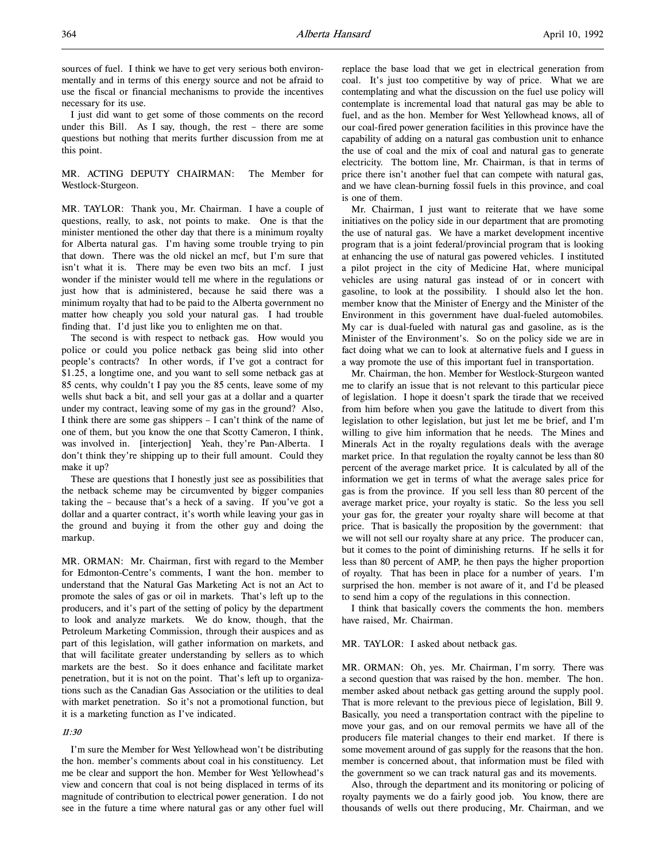sources of fuel. I think we have to get very serious both environmentally and in terms of this energy source and not be afraid to use the fiscal or financial mechanisms to provide the incentives necessary for its use.

I just did want to get some of those comments on the record under this Bill. As I say, though, the rest – there are some questions but nothing that merits further discussion from me at this point.

MR. ACTING DEPUTY CHAIRMAN: The Member for Westlock-Sturgeon.

MR. TAYLOR: Thank you, Mr. Chairman. I have a couple of questions, really, to ask, not points to make. One is that the minister mentioned the other day that there is a minimum royalty for Alberta natural gas. I'm having some trouble trying to pin that down. There was the old nickel an mcf, but I'm sure that isn't what it is. There may be even two bits an mcf. I just wonder if the minister would tell me where in the regulations or just how that is administered, because he said there was a minimum royalty that had to be paid to the Alberta government no matter how cheaply you sold your natural gas. I had trouble finding that. I'd just like you to enlighten me on that.

The second is with respect to netback gas. How would you police or could you police netback gas being slid into other people's contracts? In other words, if I've got a contract for \$1.25, a longtime one, and you want to sell some netback gas at 85 cents, why couldn't I pay you the 85 cents, leave some of my wells shut back a bit, and sell your gas at a dollar and a quarter under my contract, leaving some of my gas in the ground? Also, I think there are some gas shippers – I can't think of the name of one of them, but you know the one that Scotty Cameron, I think, was involved in. [interjection] Yeah, they're Pan-Alberta. I don't think they're shipping up to their full amount. Could they make it up?

These are questions that I honestly just see as possibilities that the netback scheme may be circumvented by bigger companies taking the – because that's a heck of a saving. If you've got a dollar and a quarter contract, it's worth while leaving your gas in the ground and buying it from the other guy and doing the markup.

MR. ORMAN: Mr. Chairman, first with regard to the Member for Edmonton-Centre's comments, I want the hon. member to understand that the Natural Gas Marketing Act is not an Act to promote the sales of gas or oil in markets. That's left up to the producers, and it's part of the setting of policy by the department to look and analyze markets. We do know, though, that the Petroleum Marketing Commission, through their auspices and as part of this legislation, will gather information on markets, and that will facilitate greater understanding by sellers as to which markets are the best. So it does enhance and facilitate market penetration, but it is not on the point. That's left up to organizations such as the Canadian Gas Association or the utilities to deal with market penetration. So it's not a promotional function, but it is a marketing function as I've indicated.

## 11:30

I'm sure the Member for West Yellowhead won't be distributing the hon. member's comments about coal in his constituency. Let me be clear and support the hon. Member for West Yellowhead's view and concern that coal is not being displaced in terms of its magnitude of contribution to electrical power generation. I do not see in the future a time where natural gas or any other fuel will

replace the base load that we get in electrical generation from coal. It's just too competitive by way of price. What we are contemplating and what the discussion on the fuel use policy will contemplate is incremental load that natural gas may be able to fuel, and as the hon. Member for West Yellowhead knows, all of our coal-fired power generation facilities in this province have the capability of adding on a natural gas combustion unit to enhance the use of coal and the mix of coal and natural gas to generate electricity. The bottom line, Mr. Chairman, is that in terms of price there isn't another fuel that can compete with natural gas, and we have clean-burning fossil fuels in this province, and coal is one of them.

Mr. Chairman, I just want to reiterate that we have some initiatives on the policy side in our department that are promoting the use of natural gas. We have a market development incentive program that is a joint federal/provincial program that is looking at enhancing the use of natural gas powered vehicles. I instituted a pilot project in the city of Medicine Hat, where municipal vehicles are using natural gas instead of or in concert with gasoline, to look at the possibility. I should also let the hon. member know that the Minister of Energy and the Minister of the Environment in this government have dual-fueled automobiles. My car is dual-fueled with natural gas and gasoline, as is the Minister of the Environment's. So on the policy side we are in fact doing what we can to look at alternative fuels and I guess in a way promote the use of this important fuel in transportation.

Mr. Chairman, the hon. Member for Westlock-Sturgeon wanted me to clarify an issue that is not relevant to this particular piece of legislation. I hope it doesn't spark the tirade that we received from him before when you gave the latitude to divert from this legislation to other legislation, but just let me be brief, and I'm willing to give him information that he needs. The Mines and Minerals Act in the royalty regulations deals with the average market price. In that regulation the royalty cannot be less than 80 percent of the average market price. It is calculated by all of the information we get in terms of what the average sales price for gas is from the province. If you sell less than 80 percent of the average market price, your royalty is static. So the less you sell your gas for, the greater your royalty share will become at that price. That is basically the proposition by the government: that we will not sell our royalty share at any price. The producer can, but it comes to the point of diminishing returns. If he sells it for less than 80 percent of AMP, he then pays the higher proportion of royalty. That has been in place for a number of years. I'm surprised the hon. member is not aware of it, and I'd be pleased to send him a copy of the regulations in this connection.

I think that basically covers the comments the hon. members have raised, Mr. Chairman.

## MR. TAYLOR: I asked about netback gas.

MR. ORMAN: Oh, yes. Mr. Chairman, I'm sorry. There was a second question that was raised by the hon. member. The hon. member asked about netback gas getting around the supply pool. That is more relevant to the previous piece of legislation, Bill 9. Basically, you need a transportation contract with the pipeline to move your gas, and on our removal permits we have all of the producers file material changes to their end market. If there is some movement around of gas supply for the reasons that the hon. member is concerned about, that information must be filed with the government so we can track natural gas and its movements.

Also, through the department and its monitoring or policing of royalty payments we do a fairly good job. You know, there are thousands of wells out there producing, Mr. Chairman, and we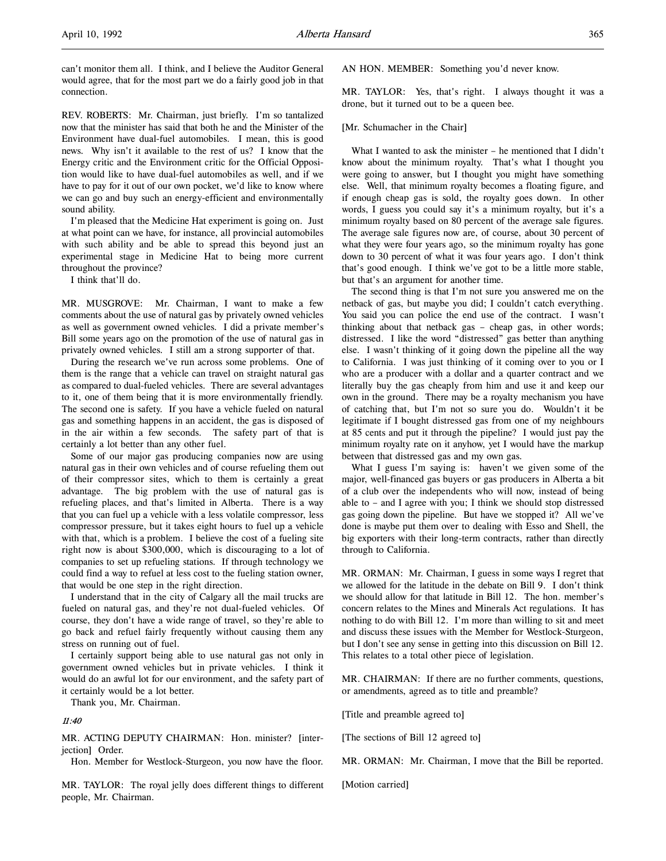can't monitor them all. I think, and I believe the Auditor General would agree, that for the most part we do a fairly good job in that connection.

REV. ROBERTS: Mr. Chairman, just briefly. I'm so tantalized now that the minister has said that both he and the Minister of the Environment have dual-fuel automobiles. I mean, this is good news. Why isn't it available to the rest of us? I know that the Energy critic and the Environment critic for the Official Opposition would like to have dual-fuel automobiles as well, and if we have to pay for it out of our own pocket, we'd like to know where we can go and buy such an energy-efficient and environmentally sound ability.

I'm pleased that the Medicine Hat experiment is going on. Just at what point can we have, for instance, all provincial automobiles with such ability and be able to spread this beyond just an experimental stage in Medicine Hat to being more current throughout the province?

I think that'll do.

MR. MUSGROVE: Mr. Chairman, I want to make a few comments about the use of natural gas by privately owned vehicles as well as government owned vehicles. I did a private member's Bill some years ago on the promotion of the use of natural gas in privately owned vehicles. I still am a strong supporter of that.

During the research we've run across some problems. One of them is the range that a vehicle can travel on straight natural gas as compared to dual-fueled vehicles. There are several advantages to it, one of them being that it is more environmentally friendly. The second one is safety. If you have a vehicle fueled on natural gas and something happens in an accident, the gas is disposed of in the air within a few seconds. The safety part of that is certainly a lot better than any other fuel.

Some of our major gas producing companies now are using natural gas in their own vehicles and of course refueling them out of their compressor sites, which to them is certainly a great advantage. The big problem with the use of natural gas is refueling places, and that's limited in Alberta. There is a way that you can fuel up a vehicle with a less volatile compressor, less compressor pressure, but it takes eight hours to fuel up a vehicle with that, which is a problem. I believe the cost of a fueling site right now is about \$300,000, which is discouraging to a lot of companies to set up refueling stations. If through technology we could find a way to refuel at less cost to the fueling station owner, that would be one step in the right direction.

I understand that in the city of Calgary all the mail trucks are fueled on natural gas, and they're not dual-fueled vehicles. Of course, they don't have a wide range of travel, so they're able to go back and refuel fairly frequently without causing them any stress on running out of fuel.

I certainly support being able to use natural gas not only in government owned vehicles but in private vehicles. I think it would do an awful lot for our environment, and the safety part of it certainly would be a lot better.

Thank you, Mr. Chairman.

#### 11:40

MR. ACTING DEPUTY CHAIRMAN: Hon. minister? [interjection] Order.

Hon. Member for Westlock-Sturgeon, you now have the floor.

MR. TAYLOR: The royal jelly does different things to different people, Mr. Chairman.

AN HON. MEMBER: Something you'd never know.

MR. TAYLOR: Yes, that's right. I always thought it was a drone, but it turned out to be a queen bee.

#### [Mr. Schumacher in the Chair]

What I wanted to ask the minister – he mentioned that I didn't know about the minimum royalty. That's what I thought you were going to answer, but I thought you might have something else. Well, that minimum royalty becomes a floating figure, and if enough cheap gas is sold, the royalty goes down. In other words, I guess you could say it's a minimum royalty, but it's a minimum royalty based on 80 percent of the average sale figures. The average sale figures now are, of course, about 30 percent of what they were four years ago, so the minimum royalty has gone down to 30 percent of what it was four years ago. I don't think that's good enough. I think we've got to be a little more stable, but that's an argument for another time.

The second thing is that I'm not sure you answered me on the netback of gas, but maybe you did; I couldn't catch everything. You said you can police the end use of the contract. I wasn't thinking about that netback gas – cheap gas, in other words; distressed. I like the word "distressed" gas better than anything else. I wasn't thinking of it going down the pipeline all the way to California. I was just thinking of it coming over to you or I who are a producer with a dollar and a quarter contract and we literally buy the gas cheaply from him and use it and keep our own in the ground. There may be a royalty mechanism you have of catching that, but I'm not so sure you do. Wouldn't it be legitimate if I bought distressed gas from one of my neighbours at 85 cents and put it through the pipeline? I would just pay the minimum royalty rate on it anyhow, yet I would have the markup between that distressed gas and my own gas.

What I guess I'm saying is: haven't we given some of the major, well-financed gas buyers or gas producers in Alberta a bit of a club over the independents who will now, instead of being able to – and I agree with you; I think we should stop distressed gas going down the pipeline. But have we stopped it? All we've done is maybe put them over to dealing with Esso and Shell, the big exporters with their long-term contracts, rather than directly through to California.

MR. ORMAN: Mr. Chairman, I guess in some ways I regret that we allowed for the latitude in the debate on Bill 9. I don't think we should allow for that latitude in Bill 12. The hon. member's concern relates to the Mines and Minerals Act regulations. It has nothing to do with Bill 12. I'm more than willing to sit and meet and discuss these issues with the Member for Westlock-Sturgeon, but I don't see any sense in getting into this discussion on Bill 12. This relates to a total other piece of legislation.

MR. CHAIRMAN: If there are no further comments, questions, or amendments, agreed as to title and preamble?

[Title and preamble agreed to]

[The sections of Bill 12 agreed to]

MR. ORMAN: Mr. Chairman, I move that the Bill be reported.

[Motion carried]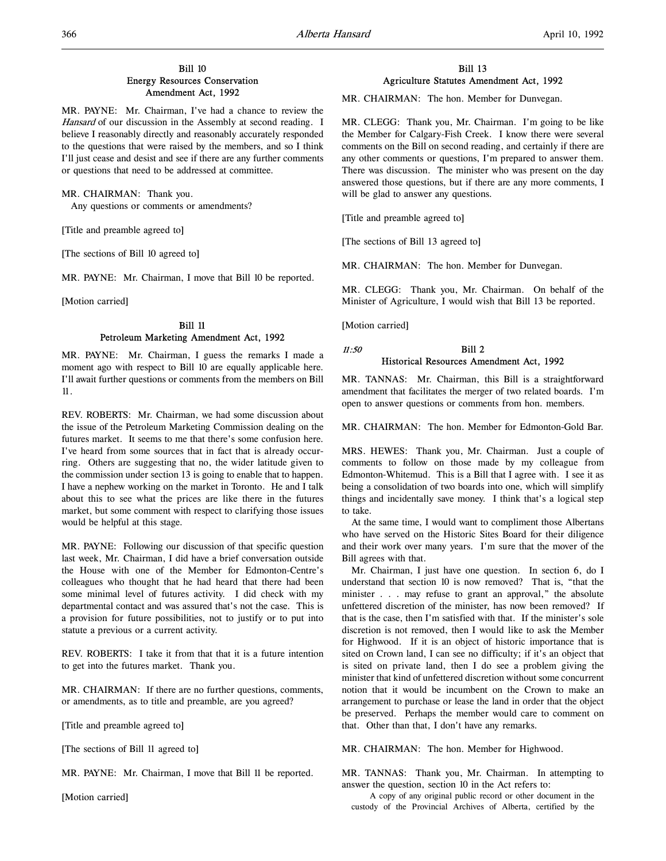## Bill 10 Energy Resources Conservation Amendment Act, 1992

MR. PAYNE: Mr. Chairman, I've had a chance to review the Hansard of our discussion in the Assembly at second reading. I believe I reasonably directly and reasonably accurately responded to the questions that were raised by the members, and so I think I'll just cease and desist and see if there are any further comments or questions that need to be addressed at committee.

#### MR. CHAIRMAN: Thank you.

Any questions or comments or amendments?

[Title and preamble agreed to]

[The sections of Bill 10 agreed to]

MR. PAYNE: Mr. Chairman, I move that Bill 10 be reported.

[Motion carried]

## Bill 11 Petroleum Marketing Amendment Act, 1992

MR. PAYNE: Mr. Chairman, I guess the remarks I made a moment ago with respect to Bill 10 are equally applicable here. I'll await further questions or comments from the members on Bill 11.

REV. ROBERTS: Mr. Chairman, we had some discussion about the issue of the Petroleum Marketing Commission dealing on the futures market. It seems to me that there's some confusion here. I've heard from some sources that in fact that is already occurring. Others are suggesting that no, the wider latitude given to the commission under section 13 is going to enable that to happen. I have a nephew working on the market in Toronto. He and I talk about this to see what the prices are like there in the futures market, but some comment with respect to clarifying those issues would be helpful at this stage.

MR. PAYNE: Following our discussion of that specific question last week, Mr. Chairman, I did have a brief conversation outside the House with one of the Member for Edmonton-Centre's colleagues who thought that he had heard that there had been some minimal level of futures activity. I did check with my departmental contact and was assured that's not the case. This is a provision for future possibilities, not to justify or to put into statute a previous or a current activity.

REV. ROBERTS: I take it from that that it is a future intention to get into the futures market. Thank you.

MR. CHAIRMAN: If there are no further questions, comments, or amendments, as to title and preamble, are you agreed?

[Title and preamble agreed to]

[The sections of Bill 11 agreed to]

MR. PAYNE: Mr. Chairman, I move that Bill 11 be reported.

[Motion carried]

## Bill 13 Agriculture Statutes Amendment Act, 1992

MR. CHAIRMAN: The hon. Member for Dunvegan.

MR. CLEGG: Thank you, Mr. Chairman. I'm going to be like the Member for Calgary-Fish Creek. I know there were several comments on the Bill on second reading, and certainly if there are any other comments or questions, I'm prepared to answer them. There was discussion. The minister who was present on the day answered those questions, but if there are any more comments, I will be glad to answer any questions.

[Title and preamble agreed to]

[The sections of Bill 13 agreed to]

MR. CHAIRMAN: The hon. Member for Dunvegan.

MR. CLEGG: Thank you, Mr. Chairman. On behalf of the Minister of Agriculture, I would wish that Bill 13 be reported.

[Motion carried]

## $11:50$  Bill 2 Historical Resources Amendment Act, 1992

MR. TANNAS: Mr. Chairman, this Bill is a straightforward amendment that facilitates the merger of two related boards. I'm open to answer questions or comments from hon. members.

MR. CHAIRMAN: The hon. Member for Edmonton-Gold Bar.

MRS. HEWES: Thank you, Mr. Chairman. Just a couple of comments to follow on those made by my colleague from Edmonton-Whitemud. This is a Bill that I agree with. I see it as being a consolidation of two boards into one, which will simplify things and incidentally save money. I think that's a logical step to take.

At the same time, I would want to compliment those Albertans who have served on the Historic Sites Board for their diligence and their work over many years. I'm sure that the mover of the Bill agrees with that.

Mr. Chairman, I just have one question. In section 6, do I understand that section 10 is now removed? That is, "that the minister . . . may refuse to grant an approval," the absolute unfettered discretion of the minister, has now been removed? If that is the case, then I'm satisfied with that. If the minister's sole discretion is not removed, then I would like to ask the Member for Highwood. If it is an object of historic importance that is sited on Crown land, I can see no difficulty; if it's an object that is sited on private land, then I do see a problem giving the minister that kind of unfettered discretion without some concurrent notion that it would be incumbent on the Crown to make an arrangement to purchase or lease the land in order that the object be preserved. Perhaps the member would care to comment on that. Other than that, I don't have any remarks.

MR. CHAIRMAN: The hon. Member for Highwood.

MR. TANNAS: Thank you, Mr. Chairman. In attempting to answer the question, section 10 in the Act refers to:

A copy of any original public record or other document in the custody of the Provincial Archives of Alberta, certified by the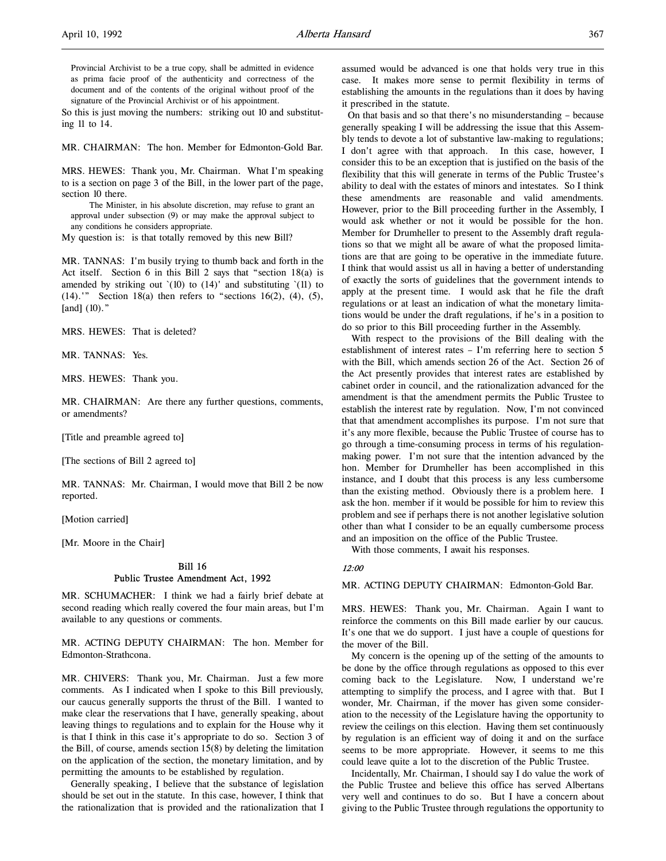Provincial Archivist to be a true copy, shall be admitted in evidence as prima facie proof of the authenticity and correctness of the document and of the contents of the original without proof of the signature of the Provincial Archivist or of his appointment.

So this is just moving the numbers: striking out 10 and substituting 11 to 14.

MR. CHAIRMAN: The hon. Member for Edmonton-Gold Bar.

MRS. HEWES: Thank you, Mr. Chairman. What I'm speaking to is a section on page 3 of the Bill, in the lower part of the page, section 10 there.

The Minister, in his absolute discretion, may refuse to grant an approval under subsection (9) or may make the approval subject to any conditions he considers appropriate.

My question is: is that totally removed by this new Bill?

MR. TANNAS: I'm busily trying to thumb back and forth in the Act itself. Section 6 in this Bill 2 says that "section 18(a) is amended by striking out  $(10)$  to  $(14)'$  and substituting  $(11)$  to  $(14)$ .'" Section 18(a) then refers to "sections 16(2), (4), (5), [and] (10)."

MRS. HEWES: That is deleted?

MR. TANNAS: Yes.

MRS. HEWES: Thank you.

MR. CHAIRMAN: Are there any further questions, comments, or amendments?

[Title and preamble agreed to]

[The sections of Bill 2 agreed to]

MR. TANNAS: Mr. Chairman, I would move that Bill 2 be now reported.

[Motion carried]

[Mr. Moore in the Chair]

## Bill 16 Public Trustee Amendment Act, 1992

MR. SCHUMACHER: I think we had a fairly brief debate at second reading which really covered the four main areas, but I'm available to any questions or comments.

MR. ACTING DEPUTY CHAIRMAN: The hon. Member for Edmonton-Strathcona.

MR. CHIVERS: Thank you, Mr. Chairman. Just a few more comments. As I indicated when I spoke to this Bill previously, our caucus generally supports the thrust of the Bill. I wanted to make clear the reservations that I have, generally speaking, about leaving things to regulations and to explain for the House why it is that I think in this case it's appropriate to do so. Section 3 of the Bill, of course, amends section 15(8) by deleting the limitation on the application of the section, the monetary limitation, and by permitting the amounts to be established by regulation.

Generally speaking, I believe that the substance of legislation should be set out in the statute. In this case, however, I think that the rationalization that is provided and the rationalization that I assumed would be advanced is one that holds very true in this case. It makes more sense to permit flexibility in terms of establishing the amounts in the regulations than it does by having it prescribed in the statute.

 On that basis and so that there's no misunderstanding – because generally speaking I will be addressing the issue that this Assembly tends to devote a lot of substantive law-making to regulations; I don't agree with that approach. In this case, however, I consider this to be an exception that is justified on the basis of the flexibility that this will generate in terms of the Public Trustee's ability to deal with the estates of minors and intestates. So I think these amendments are reasonable and valid amendments. However, prior to the Bill proceeding further in the Assembly, I would ask whether or not it would be possible for the hon. Member for Drumheller to present to the Assembly draft regulations so that we might all be aware of what the proposed limitations are that are going to be operative in the immediate future. I think that would assist us all in having a better of understanding of exactly the sorts of guidelines that the government intends to apply at the present time. I would ask that he file the draft regulations or at least an indication of what the monetary limitations would be under the draft regulations, if he's in a position to do so prior to this Bill proceeding further in the Assembly.

With respect to the provisions of the Bill dealing with the establishment of interest rates – I'm referring here to section 5 with the Bill, which amends section 26 of the Act. Section 26 of the Act presently provides that interest rates are established by cabinet order in council, and the rationalization advanced for the amendment is that the amendment permits the Public Trustee to establish the interest rate by regulation. Now, I'm not convinced that that amendment accomplishes its purpose. I'm not sure that it's any more flexible, because the Public Trustee of course has to go through a time-consuming process in terms of his regulationmaking power. I'm not sure that the intention advanced by the hon. Member for Drumheller has been accomplished in this instance, and I doubt that this process is any less cumbersome than the existing method. Obviously there is a problem here. I ask the hon. member if it would be possible for him to review this problem and see if perhaps there is not another legislative solution other than what I consider to be an equally cumbersome process and an imposition on the office of the Public Trustee.

With those comments, I await his responses.

## 12:00

MR. ACTING DEPUTY CHAIRMAN: Edmonton-Gold Bar.

MRS. HEWES: Thank you, Mr. Chairman. Again I want to reinforce the comments on this Bill made earlier by our caucus. It's one that we do support. I just have a couple of questions for the mover of the Bill.

My concern is the opening up of the setting of the amounts to be done by the office through regulations as opposed to this ever coming back to the Legislature. Now, I understand we're attempting to simplify the process, and I agree with that. But I wonder, Mr. Chairman, if the mover has given some consideration to the necessity of the Legislature having the opportunity to review the ceilings on this election. Having them set continuously by regulation is an efficient way of doing it and on the surface seems to be more appropriate. However, it seems to me this could leave quite a lot to the discretion of the Public Trustee.

Incidentally, Mr. Chairman, I should say I do value the work of the Public Trustee and believe this office has served Albertans very well and continues to do so. But I have a concern about giving to the Public Trustee through regulations the opportunity to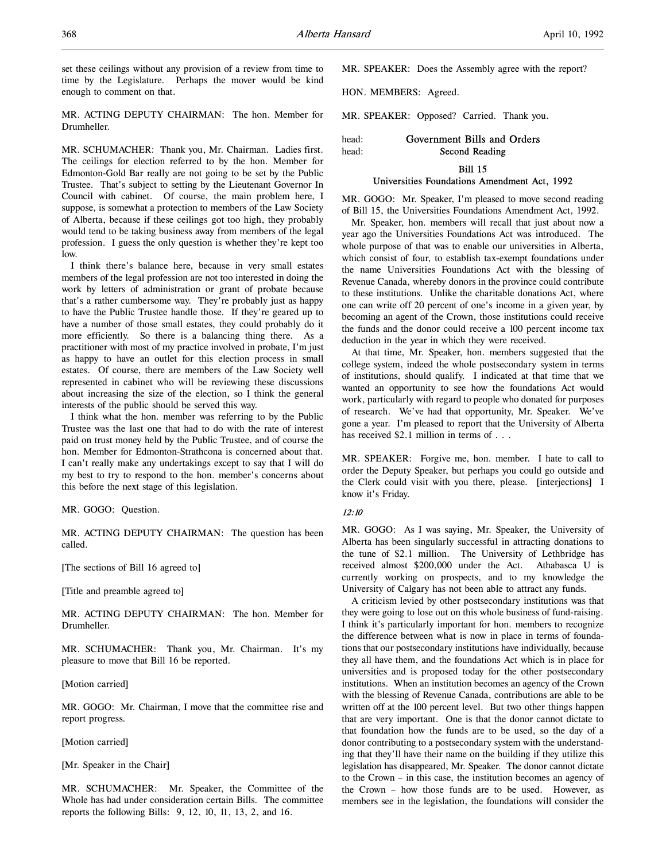set these ceilings without any provision of a review from time to time by the Legislature. Perhaps the mover would be kind enough to comment on that.

MR. ACTING DEPUTY CHAIRMAN: The hon. Member for Drumheller.

MR. SCHUMACHER: Thank you, Mr. Chairman. Ladies first. The ceilings for election referred to by the hon. Member for Edmonton-Gold Bar really are not going to be set by the Public Trustee. That's subject to setting by the Lieutenant Governor In Council with cabinet. Of course, the main problem here, I suppose, is somewhat a protection to members of the Law Society of Alberta, because if these ceilings got too high, they probably would tend to be taking business away from members of the legal profession. I guess the only question is whether they're kept too low.

I think there's balance here, because in very small estates members of the legal profession are not too interested in doing the work by letters of administration or grant of probate because that's a rather cumbersome way. They're probably just as happy to have the Public Trustee handle those. If they're geared up to have a number of those small estates, they could probably do it more efficiently. So there is a balancing thing there. As a practitioner with most of my practice involved in probate, I'm just as happy to have an outlet for this election process in small estates. Of course, there are members of the Law Society well represented in cabinet who will be reviewing these discussions about increasing the size of the election, so I think the general interests of the public should be served this way.

I think what the hon. member was referring to by the Public Trustee was the last one that had to do with the rate of interest paid on trust money held by the Public Trustee, and of course the hon. Member for Edmonton-Strathcona is concerned about that. I can't really make any undertakings except to say that I will do my best to try to respond to the hon. member's concerns about this before the next stage of this legislation.

MR. GOGO: Question.

MR. ACTING DEPUTY CHAIRMAN: The question has been called.

[The sections of Bill 16 agreed to]

[Title and preamble agreed to]

MR. ACTING DEPUTY CHAIRMAN: The hon. Member for Drumheller.

MR. SCHUMACHER: Thank you, Mr. Chairman. It's my pleasure to move that Bill 16 be reported.

[Motion carried]

MR. GOGO: Mr. Chairman, I move that the committee rise and report progress.

[Motion carried]

[Mr. Speaker in the Chair]

MR. SCHUMACHER: Mr. Speaker, the Committee of the Whole has had under consideration certain Bills. The committee reports the following Bills: 9, 12, 10, 11, 13, 2, and 16.

MR. SPEAKER: Does the Assembly agree with the report?

HON. MEMBERS: Agreed.

MR. SPEAKER: Opposed? Carried. Thank you.

head: Government Bills and Orders head: Second Reading

## Bill 15

## Universities Foundations Amendment Act, 1992

MR. GOGO: Mr. Speaker, I'm pleased to move second reading of Bill 15, the Universities Foundations Amendment Act, 1992.

Mr. Speaker, hon. members will recall that just about now a year ago the Universities Foundations Act was introduced. The whole purpose of that was to enable our universities in Alberta, which consist of four, to establish tax-exempt foundations under the name Universities Foundations Act with the blessing of Revenue Canada, whereby donors in the province could contribute to these institutions. Unlike the charitable donations Act, where one can write off 20 percent of one's income in a given year, by becoming an agent of the Crown, those institutions could receive the funds and the donor could receive a 100 percent income tax deduction in the year in which they were received.

At that time, Mr. Speaker, hon. members suggested that the college system, indeed the whole postsecondary system in terms of institutions, should qualify. I indicated at that time that we wanted an opportunity to see how the foundations Act would work, particularly with regard to people who donated for purposes of research. We've had that opportunity, Mr. Speaker. We've gone a year. I'm pleased to report that the University of Alberta has received \$2.1 million in terms of . . .

MR. SPEAKER: Forgive me, hon. member. I hate to call to order the Deputy Speaker, but perhaps you could go outside and the Clerk could visit with you there, please. [interjections] I know it's Friday.

## 12:10

MR. GOGO: As I was saying, Mr. Speaker, the University of Alberta has been singularly successful in attracting donations to the tune of \$2.1 million. The University of Lethbridge has received almost \$200,000 under the Act. Athabasca U is currently working on prospects, and to my knowledge the University of Calgary has not been able to attract any funds.

A criticism levied by other postsecondary institutions was that they were going to lose out on this whole business of fund-raising. I think it's particularly important for hon. members to recognize the difference between what is now in place in terms of foundations that our postsecondary institutions have individually, because they all have them, and the foundations Act which is in place for universities and is proposed today for the other postsecondary institutions. When an institution becomes an agency of the Crown with the blessing of Revenue Canada, contributions are able to be written off at the 100 percent level. But two other things happen that are very important. One is that the donor cannot dictate to that foundation how the funds are to be used, so the day of a donor contributing to a postsecondary system with the understanding that they'll have their name on the building if they utilize this legislation has disappeared, Mr. Speaker. The donor cannot dictate to the Crown – in this case, the institution becomes an agency of the Crown – how those funds are to be used. However, as members see in the legislation, the foundations will consider the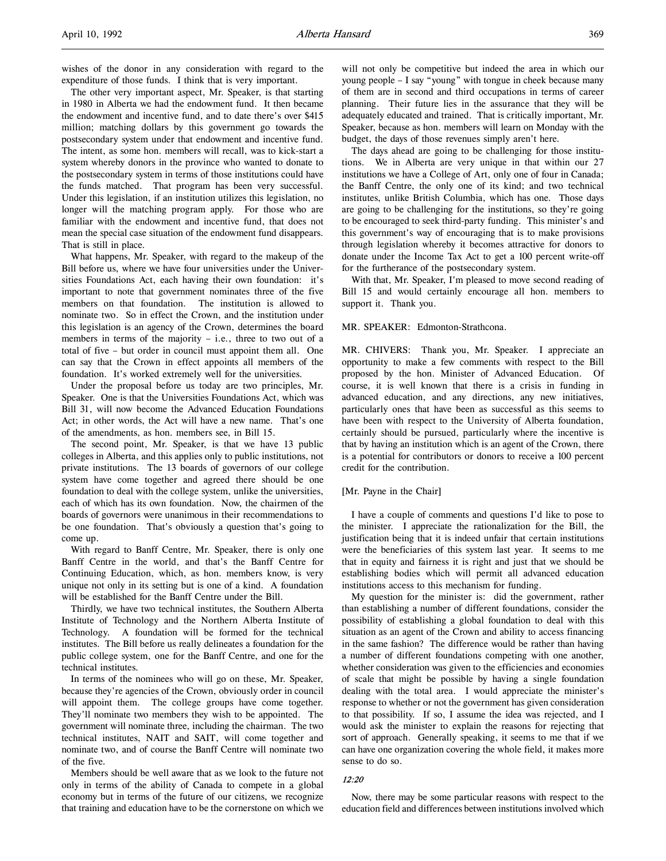wishes of the donor in any consideration with regard to the expenditure of those funds. I think that is very important.

The other very important aspect, Mr. Speaker, is that starting in 1980 in Alberta we had the endowment fund. It then became the endowment and incentive fund, and to date there's over \$415 million; matching dollars by this government go towards the postsecondary system under that endowment and incentive fund. The intent, as some hon. members will recall, was to kick-start a system whereby donors in the province who wanted to donate to the postsecondary system in terms of those institutions could have the funds matched. That program has been very successful. Under this legislation, if an institution utilizes this legislation, no longer will the matching program apply. For those who are familiar with the endowment and incentive fund, that does not mean the special case situation of the endowment fund disappears. That is still in place.

What happens, Mr. Speaker, with regard to the makeup of the Bill before us, where we have four universities under the Universities Foundations Act, each having their own foundation: it's important to note that government nominates three of the five members on that foundation. The institution is allowed to nominate two. So in effect the Crown, and the institution under this legislation is an agency of the Crown, determines the board members in terms of the majority – i.e., three to two out of a total of five – but order in council must appoint them all. One can say that the Crown in effect appoints all members of the foundation. It's worked extremely well for the universities.

Under the proposal before us today are two principles, Mr. Speaker. One is that the Universities Foundations Act, which was Bill 31, will now become the Advanced Education Foundations Act; in other words, the Act will have a new name. That's one of the amendments, as hon. members see, in Bill 15.

The second point, Mr. Speaker, is that we have 13 public colleges in Alberta, and this applies only to public institutions, not private institutions. The 13 boards of governors of our college system have come together and agreed there should be one foundation to deal with the college system, unlike the universities, each of which has its own foundation. Now, the chairmen of the boards of governors were unanimous in their recommendations to be one foundation. That's obviously a question that's going to come up.

With regard to Banff Centre, Mr. Speaker, there is only one Banff Centre in the world, and that's the Banff Centre for Continuing Education, which, as hon. members know, is very unique not only in its setting but is one of a kind. A foundation will be established for the Banff Centre under the Bill.

Thirdly, we have two technical institutes, the Southern Alberta Institute of Technology and the Northern Alberta Institute of Technology. A foundation will be formed for the technical institutes. The Bill before us really delineates a foundation for the public college system, one for the Banff Centre, and one for the technical institutes.

In terms of the nominees who will go on these, Mr. Speaker, because they're agencies of the Crown, obviously order in council will appoint them. The college groups have come together. They'll nominate two members they wish to be appointed. The government will nominate three, including the chairman. The two technical institutes, NAIT and SAIT, will come together and nominate two, and of course the Banff Centre will nominate two of the five.

Members should be well aware that as we look to the future not only in terms of the ability of Canada to compete in a global economy but in terms of the future of our citizens, we recognize that training and education have to be the cornerstone on which we will not only be competitive but indeed the area in which our young people – I say "young" with tongue in cheek because many of them are in second and third occupations in terms of career planning. Their future lies in the assurance that they will be adequately educated and trained. That is critically important, Mr. Speaker, because as hon. members will learn on Monday with the budget, the days of those revenues simply aren't here.

The days ahead are going to be challenging for those institutions. We in Alberta are very unique in that within our 27 institutions we have a College of Art, only one of four in Canada; the Banff Centre, the only one of its kind; and two technical institutes, unlike British Columbia, which has one. Those days are going to be challenging for the institutions, so they're going to be encouraged to seek third-party funding. This minister's and this government's way of encouraging that is to make provisions through legislation whereby it becomes attractive for donors to donate under the Income Tax Act to get a 100 percent write-off for the furtherance of the postsecondary system.

With that, Mr. Speaker, I'm pleased to move second reading of Bill 15 and would certainly encourage all hon. members to support it. Thank you.

#### MR. SPEAKER: Edmonton-Strathcona.

MR. CHIVERS: Thank you, Mr. Speaker. I appreciate an opportunity to make a few comments with respect to the Bill proposed by the hon. Minister of Advanced Education. Of course, it is well known that there is a crisis in funding in advanced education, and any directions, any new initiatives, particularly ones that have been as successful as this seems to have been with respect to the University of Alberta foundation, certainly should be pursued, particularly where the incentive is that by having an institution which is an agent of the Crown, there is a potential for contributors or donors to receive a 100 percent credit for the contribution.

#### [Mr. Payne in the Chair]

I have a couple of comments and questions I'd like to pose to the minister. I appreciate the rationalization for the Bill, the justification being that it is indeed unfair that certain institutions were the beneficiaries of this system last year. It seems to me that in equity and fairness it is right and just that we should be establishing bodies which will permit all advanced education institutions access to this mechanism for funding.

My question for the minister is: did the government, rather than establishing a number of different foundations, consider the possibility of establishing a global foundation to deal with this situation as an agent of the Crown and ability to access financing in the same fashion? The difference would be rather than having a number of different foundations competing with one another, whether consideration was given to the efficiencies and economies of scale that might be possible by having a single foundation dealing with the total area. I would appreciate the minister's response to whether or not the government has given consideration to that possibility. If so, I assume the idea was rejected, and I would ask the minister to explain the reasons for rejecting that sort of approach. Generally speaking, it seems to me that if we can have one organization covering the whole field, it makes more sense to do so.

#### 12:20

Now, there may be some particular reasons with respect to the education field and differences between institutions involved which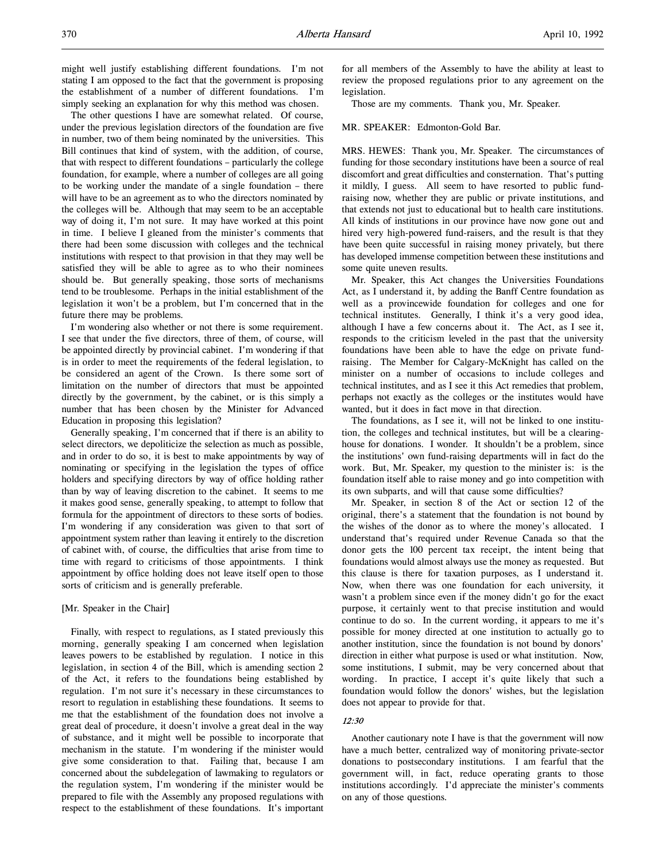The other questions I have are somewhat related. Of course, under the previous legislation directors of the foundation are five in number, two of them being nominated by the universities. This Bill continues that kind of system, with the addition, of course, that with respect to different foundations – particularly the college foundation, for example, where a number of colleges are all going to be working under the mandate of a single foundation – there will have to be an agreement as to who the directors nominated by the colleges will be. Although that may seem to be an acceptable way of doing it, I'm not sure. It may have worked at this point in time. I believe I gleaned from the minister's comments that there had been some discussion with colleges and the technical institutions with respect to that provision in that they may well be satisfied they will be able to agree as to who their nominees should be. But generally speaking, those sorts of mechanisms tend to be troublesome. Perhaps in the initial establishment of the legislation it won't be a problem, but I'm concerned that in the future there may be problems.

I'm wondering also whether or not there is some requirement. I see that under the five directors, three of them, of course, will be appointed directly by provincial cabinet. I'm wondering if that is in order to meet the requirements of the federal legislation, to be considered an agent of the Crown. Is there some sort of limitation on the number of directors that must be appointed directly by the government, by the cabinet, or is this simply a number that has been chosen by the Minister for Advanced Education in proposing this legislation?

Generally speaking, I'm concerned that if there is an ability to select directors, we depoliticize the selection as much as possible, and in order to do so, it is best to make appointments by way of nominating or specifying in the legislation the types of office holders and specifying directors by way of office holding rather than by way of leaving discretion to the cabinet. It seems to me it makes good sense, generally speaking, to attempt to follow that formula for the appointment of directors to these sorts of bodies. I'm wondering if any consideration was given to that sort of appointment system rather than leaving it entirely to the discretion of cabinet with, of course, the difficulties that arise from time to time with regard to criticisms of those appointments. I think appointment by office holding does not leave itself open to those sorts of criticism and is generally preferable.

## [Mr. Speaker in the Chair]

Finally, with respect to regulations, as I stated previously this morning, generally speaking I am concerned when legislation leaves powers to be established by regulation. I notice in this legislation, in section 4 of the Bill, which is amending section 2 of the Act, it refers to the foundations being established by regulation. I'm not sure it's necessary in these circumstances to resort to regulation in establishing these foundations. It seems to me that the establishment of the foundation does not involve a great deal of procedure, it doesn't involve a great deal in the way of substance, and it might well be possible to incorporate that mechanism in the statute. I'm wondering if the minister would give some consideration to that. Failing that, because I am concerned about the subdelegation of lawmaking to regulators or the regulation system, I'm wondering if the minister would be prepared to file with the Assembly any proposed regulations with respect to the establishment of these foundations. It's important for all members of the Assembly to have the ability at least to review the proposed regulations prior to any agreement on the legislation.

Those are my comments. Thank you, Mr. Speaker.

## MR. SPEAKER: Edmonton-Gold Bar.

MRS. HEWES: Thank you, Mr. Speaker. The circumstances of funding for those secondary institutions have been a source of real discomfort and great difficulties and consternation. That's putting it mildly, I guess. All seem to have resorted to public fundraising now, whether they are public or private institutions, and that extends not just to educational but to health care institutions. All kinds of institutions in our province have now gone out and hired very high-powered fund-raisers, and the result is that they have been quite successful in raising money privately, but there has developed immense competition between these institutions and some quite uneven results.

Mr. Speaker, this Act changes the Universities Foundations Act, as I understand it, by adding the Banff Centre foundation as well as a provincewide foundation for colleges and one for technical institutes. Generally, I think it's a very good idea, although I have a few concerns about it. The Act, as I see it, responds to the criticism leveled in the past that the university foundations have been able to have the edge on private fundraising. The Member for Calgary-McKnight has called on the minister on a number of occasions to include colleges and technical institutes, and as I see it this Act remedies that problem, perhaps not exactly as the colleges or the institutes would have wanted, but it does in fact move in that direction.

The foundations, as I see it, will not be linked to one institution, the colleges and technical institutes, but will be a clearinghouse for donations. I wonder. It shouldn't be a problem, since the institutions' own fund-raising departments will in fact do the work. But, Mr. Speaker, my question to the minister is: is the foundation itself able to raise money and go into competition with its own subparts, and will that cause some difficulties?

Mr. Speaker, in section 8 of the Act or section 12 of the original, there's a statement that the foundation is not bound by the wishes of the donor as to where the money's allocated. I understand that's required under Revenue Canada so that the donor gets the 100 percent tax receipt, the intent being that foundations would almost always use the money as requested. But this clause is there for taxation purposes, as I understand it. Now, when there was one foundation for each university, it wasn't a problem since even if the money didn't go for the exact purpose, it certainly went to that precise institution and would continue to do so. In the current wording, it appears to me it's possible for money directed at one institution to actually go to another institution, since the foundation is not bound by donors' direction in either what purpose is used or what institution. Now, some institutions, I submit, may be very concerned about that wording. In practice, I accept it's quite likely that such a foundation would follow the donors' wishes, but the legislation does not appear to provide for that.

#### 12:30

Another cautionary note I have is that the government will now have a much better, centralized way of monitoring private-sector donations to postsecondary institutions. I am fearful that the government will, in fact, reduce operating grants to those institutions accordingly. I'd appreciate the minister's comments on any of those questions.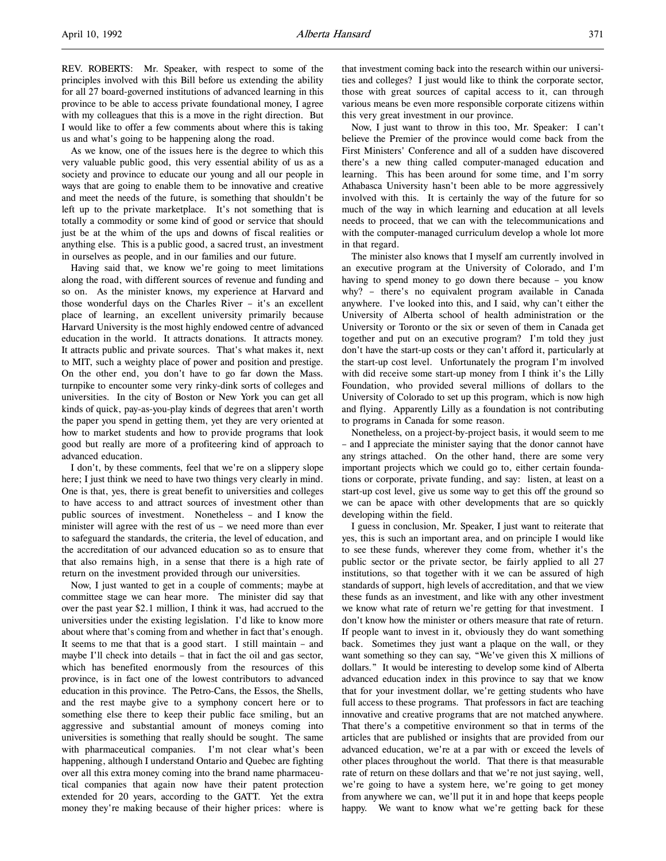REV. ROBERTS: Mr. Speaker, with respect to some of the principles involved with this Bill before us extending the ability for all 27 board-governed institutions of advanced learning in this province to be able to access private foundational money, I agree with my colleagues that this is a move in the right direction. But I would like to offer a few comments about where this is taking us and what's going to be happening along the road.

As we know, one of the issues here is the degree to which this very valuable public good, this very essential ability of us as a society and province to educate our young and all our people in ways that are going to enable them to be innovative and creative and meet the needs of the future, is something that shouldn't be left up to the private marketplace. It's not something that is totally a commodity or some kind of good or service that should just be at the whim of the ups and downs of fiscal realities or anything else. This is a public good, a sacred trust, an investment in ourselves as people, and in our families and our future.

Having said that, we know we're going to meet limitations along the road, with different sources of revenue and funding and so on. As the minister knows, my experience at Harvard and those wonderful days on the Charles River – it's an excellent place of learning, an excellent university primarily because Harvard University is the most highly endowed centre of advanced education in the world. It attracts donations. It attracts money. It attracts public and private sources. That's what makes it, next to MIT, such a weighty place of power and position and prestige. On the other end, you don't have to go far down the Mass. turnpike to encounter some very rinky-dink sorts of colleges and universities. In the city of Boston or New York you can get all kinds of quick, pay-as-you-play kinds of degrees that aren't worth the paper you spend in getting them, yet they are very oriented at how to market students and how to provide programs that look good but really are more of a profiteering kind of approach to advanced education.

I don't, by these comments, feel that we're on a slippery slope here; I just think we need to have two things very clearly in mind. One is that, yes, there is great benefit to universities and colleges to have access to and attract sources of investment other than public sources of investment. Nonetheless – and I know the minister will agree with the rest of us – we need more than ever to safeguard the standards, the criteria, the level of education, and the accreditation of our advanced education so as to ensure that that also remains high, in a sense that there is a high rate of return on the investment provided through our universities.

Now, I just wanted to get in a couple of comments; maybe at committee stage we can hear more. The minister did say that over the past year \$2.1 million, I think it was, had accrued to the universities under the existing legislation. I'd like to know more about where that's coming from and whether in fact that's enough. It seems to me that that is a good start. I still maintain – and maybe I'll check into details – that in fact the oil and gas sector, which has benefited enormously from the resources of this province, is in fact one of the lowest contributors to advanced education in this province. The Petro-Cans, the Essos, the Shells, and the rest maybe give to a symphony concert here or to something else there to keep their public face smiling, but an aggressive and substantial amount of moneys coming into universities is something that really should be sought. The same with pharmaceutical companies. I'm not clear what's been happening, although I understand Ontario and Quebec are fighting over all this extra money coming into the brand name pharmaceutical companies that again now have their patent protection extended for 20 years, according to the GATT. Yet the extra money they're making because of their higher prices: where is

that investment coming back into the research within our universities and colleges? I just would like to think the corporate sector, those with great sources of capital access to it, can through various means be even more responsible corporate citizens within this very great investment in our province.

Now, I just want to throw in this too, Mr. Speaker: I can't believe the Premier of the province would come back from the First Ministers' Conference and all of a sudden have discovered there's a new thing called computer-managed education and learning. This has been around for some time, and I'm sorry Athabasca University hasn't been able to be more aggressively involved with this. It is certainly the way of the future for so much of the way in which learning and education at all levels needs to proceed, that we can with the telecommunications and with the computer-managed curriculum develop a whole lot more in that regard.

The minister also knows that I myself am currently involved in an executive program at the University of Colorado, and I'm having to spend money to go down there because – you know why? – there's no equivalent program available in Canada anywhere. I've looked into this, and I said, why can't either the University of Alberta school of health administration or the University or Toronto or the six or seven of them in Canada get together and put on an executive program? I'm told they just don't have the start-up costs or they can't afford it, particularly at the start-up cost level. Unfortunately the program I'm involved with did receive some start-up money from I think it's the Lilly Foundation, who provided several millions of dollars to the University of Colorado to set up this program, which is now high and flying. Apparently Lilly as a foundation is not contributing to programs in Canada for some reason.

Nonetheless, on a project-by-project basis, it would seem to me – and I appreciate the minister saying that the donor cannot have any strings attached. On the other hand, there are some very important projects which we could go to, either certain foundations or corporate, private funding, and say: listen, at least on a start-up cost level, give us some way to get this off the ground so we can be apace with other developments that are so quickly developing within the field.

I guess in conclusion, Mr. Speaker, I just want to reiterate that yes, this is such an important area, and on principle I would like to see these funds, wherever they come from, whether it's the public sector or the private sector, be fairly applied to all 27 institutions, so that together with it we can be assured of high standards of support, high levels of accreditation, and that we view these funds as an investment, and like with any other investment we know what rate of return we're getting for that investment. I don't know how the minister or others measure that rate of return. If people want to invest in it, obviously they do want something back. Sometimes they just want a plaque on the wall, or they want something so they can say, "We've given this X millions of dollars." It would be interesting to develop some kind of Alberta advanced education index in this province to say that we know that for your investment dollar, we're getting students who have full access to these programs. That professors in fact are teaching innovative and creative programs that are not matched anywhere. That there's a competitive environment so that in terms of the articles that are published or insights that are provided from our advanced education, we're at a par with or exceed the levels of other places throughout the world. That there is that measurable rate of return on these dollars and that we're not just saying, well, we're going to have a system here, we're going to get money from anywhere we can, we'll put it in and hope that keeps people happy. We want to know what we're getting back for these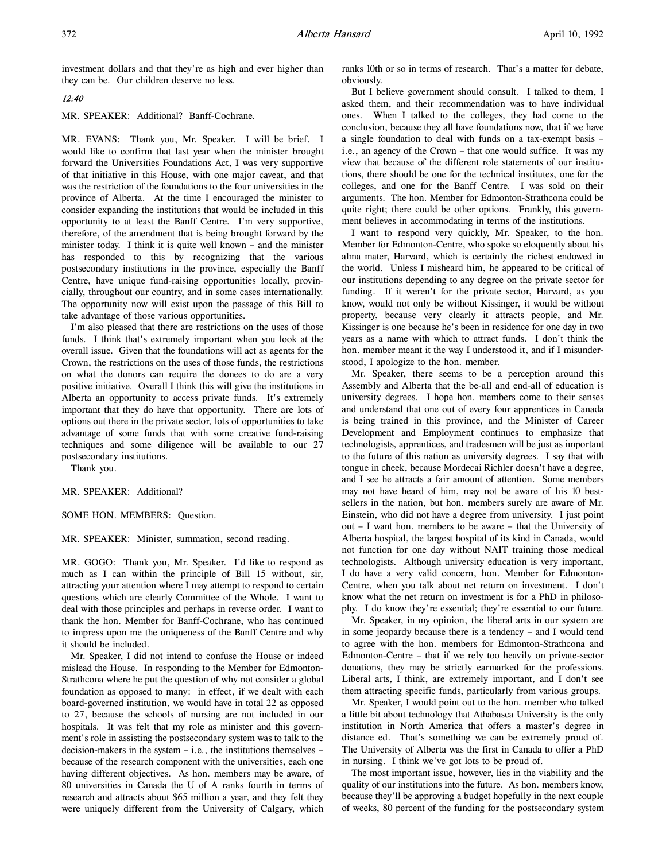investment dollars and that they're as high and ever higher than they can be. Our children deserve no less.

## 12:40

MR. SPEAKER: Additional? Banff-Cochrane.

MR. EVANS: Thank you, Mr. Speaker. I will be brief. I would like to confirm that last year when the minister brought forward the Universities Foundations Act, I was very supportive of that initiative in this House, with one major caveat, and that was the restriction of the foundations to the four universities in the province of Alberta. At the time I encouraged the minister to consider expanding the institutions that would be included in this opportunity to at least the Banff Centre. I'm very supportive, therefore, of the amendment that is being brought forward by the minister today. I think it is quite well known – and the minister has responded to this by recognizing that the various postsecondary institutions in the province, especially the Banff Centre, have unique fund-raising opportunities locally, provincially, throughout our country, and in some cases internationally. The opportunity now will exist upon the passage of this Bill to take advantage of those various opportunities.

I'm also pleased that there are restrictions on the uses of those funds. I think that's extremely important when you look at the overall issue. Given that the foundations will act as agents for the Crown, the restrictions on the uses of those funds, the restrictions on what the donors can require the donees to do are a very positive initiative. Overall I think this will give the institutions in Alberta an opportunity to access private funds. It's extremely important that they do have that opportunity. There are lots of options out there in the private sector, lots of opportunities to take advantage of some funds that with some creative fund-raising techniques and some diligence will be available to our 27 postsecondary institutions.

Thank you.

MR. SPEAKER: Additional?

SOME HON. MEMBERS: Question.

MR. SPEAKER: Minister, summation, second reading.

MR. GOGO: Thank you, Mr. Speaker. I'd like to respond as much as I can within the principle of Bill 15 without, sir, attracting your attention where I may attempt to respond to certain questions which are clearly Committee of the Whole. I want to deal with those principles and perhaps in reverse order. I want to thank the hon. Member for Banff-Cochrane, who has continued to impress upon me the uniqueness of the Banff Centre and why it should be included.

Mr. Speaker, I did not intend to confuse the House or indeed mislead the House. In responding to the Member for Edmonton-Strathcona where he put the question of why not consider a global foundation as opposed to many: in effect, if we dealt with each board-governed institution, we would have in total 22 as opposed to 27, because the schools of nursing are not included in our hospitals. It was felt that my role as minister and this government's role in assisting the postsecondary system was to talk to the decision-makers in the system – i.e., the institutions themselves – because of the research component with the universities, each one having different objectives. As hon. members may be aware, of 80 universities in Canada the U of A ranks fourth in terms of research and attracts about \$65 million a year, and they felt they were uniquely different from the University of Calgary, which

ranks 10th or so in terms of research. That's a matter for debate, obviously.

But I believe government should consult. I talked to them, I asked them, and their recommendation was to have individual ones. When I talked to the colleges, they had come to the conclusion, because they all have foundations now, that if we have a single foundation to deal with funds on a tax-exempt basis – i.e., an agency of the Crown – that one would suffice. It was my view that because of the different role statements of our institutions, there should be one for the technical institutes, one for the colleges, and one for the Banff Centre. I was sold on their arguments. The hon. Member for Edmonton-Strathcona could be quite right; there could be other options. Frankly, this government believes in accommodating in terms of the institutions.

I want to respond very quickly, Mr. Speaker, to the hon. Member for Edmonton-Centre, who spoke so eloquently about his alma mater, Harvard, which is certainly the richest endowed in the world. Unless I misheard him, he appeared to be critical of our institutions depending to any degree on the private sector for funding. If it weren't for the private sector, Harvard, as you know, would not only be without Kissinger, it would be without property, because very clearly it attracts people, and Mr. Kissinger is one because he's been in residence for one day in two years as a name with which to attract funds. I don't think the hon. member meant it the way I understood it, and if I misunderstood, I apologize to the hon. member.

Mr. Speaker, there seems to be a perception around this Assembly and Alberta that the be-all and end-all of education is university degrees. I hope hon. members come to their senses and understand that one out of every four apprentices in Canada is being trained in this province, and the Minister of Career Development and Employment continues to emphasize that technologists, apprentices, and tradesmen will be just as important to the future of this nation as university degrees. I say that with tongue in cheek, because Mordecai Richler doesn't have a degree, and I see he attracts a fair amount of attention. Some members may not have heard of him, may not be aware of his 10 bestsellers in the nation, but hon. members surely are aware of Mr. Einstein, who did not have a degree from university. I just point out – I want hon. members to be aware – that the University of Alberta hospital, the largest hospital of its kind in Canada, would not function for one day without NAIT training those medical technologists. Although university education is very important, I do have a very valid concern, hon. Member for Edmonton-Centre, when you talk about net return on investment. I don't know what the net return on investment is for a PhD in philosophy. I do know they're essential; they're essential to our future.

Mr. Speaker, in my opinion, the liberal arts in our system are in some jeopardy because there is a tendency – and I would tend to agree with the hon. members for Edmonton-Strathcona and Edmonton-Centre – that if we rely too heavily on private-sector donations, they may be strictly earmarked for the professions. Liberal arts, I think, are extremely important, and I don't see them attracting specific funds, particularly from various groups.

Mr. Speaker, I would point out to the hon. member who talked a little bit about technology that Athabasca University is the only institution in North America that offers a master's degree in distance ed. That's something we can be extremely proud of. The University of Alberta was the first in Canada to offer a PhD in nursing. I think we've got lots to be proud of.

The most important issue, however, lies in the viability and the quality of our institutions into the future. As hon. members know, because they'll be approving a budget hopefully in the next couple of weeks, 80 percent of the funding for the postsecondary system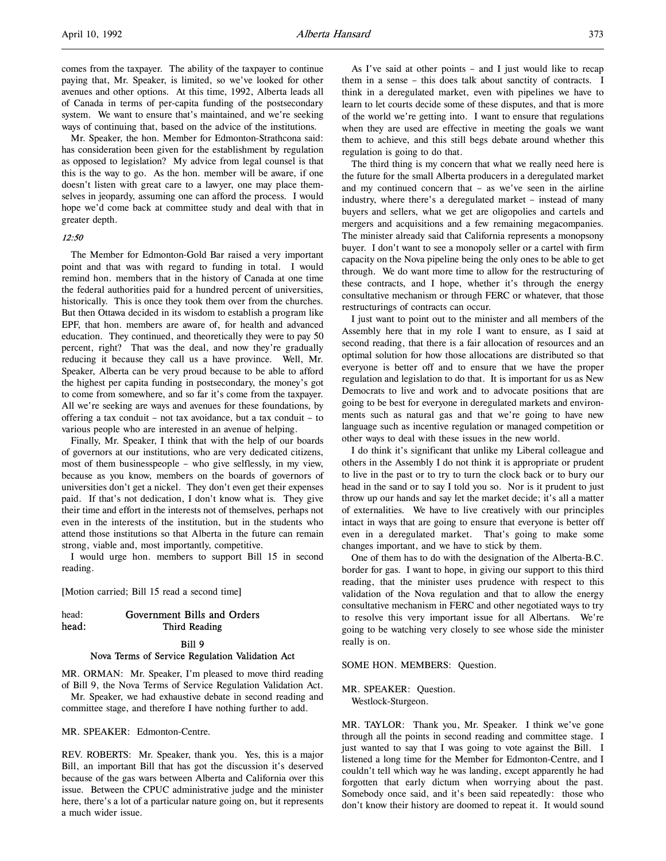comes from the taxpayer. The ability of the taxpayer to continue paying that, Mr. Speaker, is limited, so we've looked for other avenues and other options. At this time, 1992, Alberta leads all of Canada in terms of per-capita funding of the postsecondary system. We want to ensure that's maintained, and we're seeking ways of continuing that, based on the advice of the institutions.

Mr. Speaker, the hon. Member for Edmonton-Strathcona said: has consideration been given for the establishment by regulation as opposed to legislation? My advice from legal counsel is that this is the way to go. As the hon. member will be aware, if one doesn't listen with great care to a lawyer, one may place themselves in jeopardy, assuming one can afford the process. I would hope we'd come back at committee study and deal with that in greater depth.

#### 12:50

The Member for Edmonton-Gold Bar raised a very important point and that was with regard to funding in total. I would remind hon. members that in the history of Canada at one time the federal authorities paid for a hundred percent of universities, historically. This is once they took them over from the churches. But then Ottawa decided in its wisdom to establish a program like EPF, that hon. members are aware of, for health and advanced education. They continued, and theoretically they were to pay 50 percent, right? That was the deal, and now they're gradually reducing it because they call us a have province. Well, Mr. Speaker, Alberta can be very proud because to be able to afford the highest per capita funding in postsecondary, the money's got to come from somewhere, and so far it's come from the taxpayer. All we're seeking are ways and avenues for these foundations, by offering a tax conduit – not tax avoidance, but a tax conduit – to various people who are interested in an avenue of helping.

Finally, Mr. Speaker, I think that with the help of our boards of governors at our institutions, who are very dedicated citizens, most of them businesspeople – who give selflessly, in my view, because as you know, members on the boards of governors of universities don't get a nickel. They don't even get their expenses paid. If that's not dedication, I don't know what is. They give their time and effort in the interests not of themselves, perhaps not even in the interests of the institution, but in the students who attend those institutions so that Alberta in the future can remain strong, viable and, most importantly, competitive.

I would urge hon. members to support Bill 15 in second reading.

[Motion carried; Bill 15 read a second time]

| head: | Government Bills and Orders |
|-------|-----------------------------|
| head: | Third Reading               |

## Bill 9 Nova Terms of Service Regulation Validation Act

MR. ORMAN: Mr. Speaker, I'm pleased to move third reading of Bill 9, the Nova Terms of Service Regulation Validation Act.

Mr. Speaker, we had exhaustive debate in second reading and committee stage, and therefore I have nothing further to add.

MR. SPEAKER: Edmonton-Centre.

REV. ROBERTS: Mr. Speaker, thank you. Yes, this is a major Bill, an important Bill that has got the discussion it's deserved because of the gas wars between Alberta and California over this issue. Between the CPUC administrative judge and the minister here, there's a lot of a particular nature going on, but it represents a much wider issue.

As I've said at other points – and I just would like to recap them in a sense – this does talk about sanctity of contracts. I think in a deregulated market, even with pipelines we have to learn to let courts decide some of these disputes, and that is more of the world we're getting into. I want to ensure that regulations when they are used are effective in meeting the goals we want them to achieve, and this still begs debate around whether this regulation is going to do that.

The third thing is my concern that what we really need here is the future for the small Alberta producers in a deregulated market and my continued concern that – as we've seen in the airline industry, where there's a deregulated market – instead of many buyers and sellers, what we get are oligopolies and cartels and mergers and acquisitions and a few remaining megacompanies. The minister already said that California represents a monopsony buyer. I don't want to see a monopoly seller or a cartel with firm capacity on the Nova pipeline being the only ones to be able to get through. We do want more time to allow for the restructuring of these contracts, and I hope, whether it's through the energy consultative mechanism or through FERC or whatever, that those restructurings of contracts can occur.

I just want to point out to the minister and all members of the Assembly here that in my role I want to ensure, as I said at second reading, that there is a fair allocation of resources and an optimal solution for how those allocations are distributed so that everyone is better off and to ensure that we have the proper regulation and legislation to do that. It is important for us as New Democrats to live and work and to advocate positions that are going to be best for everyone in deregulated markets and environments such as natural gas and that we're going to have new language such as incentive regulation or managed competition or other ways to deal with these issues in the new world.

I do think it's significant that unlike my Liberal colleague and others in the Assembly I do not think it is appropriate or prudent to live in the past or to try to turn the clock back or to bury our head in the sand or to say I told you so. Nor is it prudent to just throw up our hands and say let the market decide; it's all a matter of externalities. We have to live creatively with our principles intact in ways that are going to ensure that everyone is better off even in a deregulated market. That's going to make some changes important, and we have to stick by them.

One of them has to do with the designation of the Alberta-B.C. border for gas. I want to hope, in giving our support to this third reading, that the minister uses prudence with respect to this validation of the Nova regulation and that to allow the energy consultative mechanism in FERC and other negotiated ways to try to resolve this very important issue for all Albertans. We're going to be watching very closely to see whose side the minister really is on.

SOME HON. MEMBERS: Question.

# MR. SPEAKER: Question.

Westlock-Sturgeon.

MR. TAYLOR: Thank you, Mr. Speaker. I think we've gone through all the points in second reading and committee stage. I just wanted to say that I was going to vote against the Bill. I listened a long time for the Member for Edmonton-Centre, and I couldn't tell which way he was landing, except apparently he had forgotten that early dictum when worrying about the past. Somebody once said, and it's been said repeatedly: those who don't know their history are doomed to repeat it. It would sound